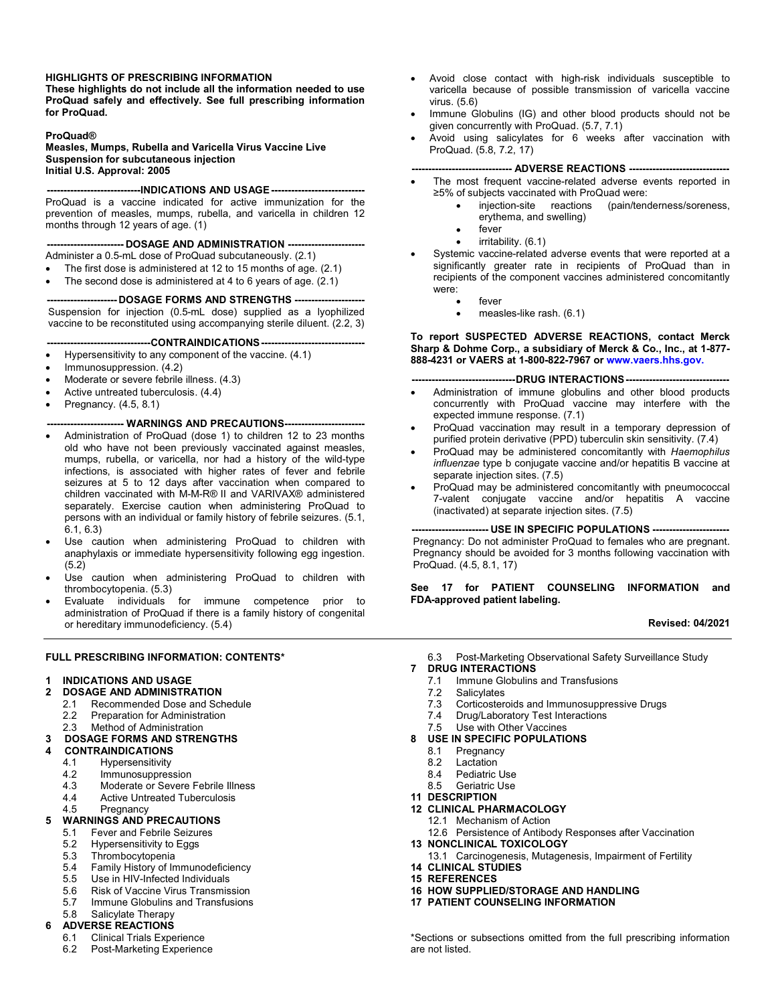#### **HIGHLIGHTS OF PRESCRIBING INFORMATION**

**These highlights do not include all the information needed to use ProQuad safely and effectively. See full prescribing information for ProQuad.**

#### **ProQuad®**

**Measles, Mumps, Rubella and Varicella Virus Vaccine Live Suspension for subcutaneous injection Initial U.S. Approval: 2005**

**----------------------------INDICATIONS AND USAGE ----------------------------** ProQuad is a vaccine indicated for active immunization for the prevention of measles, mumps, rubella, and varicella in children 12 months through 12 years of age. (1)

**----------------------- DOSAGE AND ADMINISTRATION -----------------------**

- Administer a 0.5-mL dose of ProQuad subcutaneously. (2.1)
- The first dose is administered at 12 to 15 months of age. (2.1)
- The second dose is administered at 4 to 6 years of age. (2.1)

**--------------------- DOSAGE FORMS AND STRENGTHS ---------------------** Suspension for injection (0.5-mL dose) supplied as a lyophilized vaccine to be reconstituted using accompanying sterile diluent. (2.2, 3)

- **-------------------------------CONTRAINDICATIONS-------------------------------**
- Hypersensitivity to any component of the vaccine. (4.1)
- Immunosuppression. (4.2)
- Moderate or severe febrile illness. (4.3)
- Active untreated tuberculosis. (4.4)
- Pregnancy. (4.5, 8.1)

#### **----------------------- WARNINGS AND PRECAUTIONS------------------------**

- Administration of ProQuad (dose 1) to children 12 to 23 months old who have not been previously vaccinated against measles, mumps, rubella, or varicella, nor had a history of the wild-type infections, is associated with higher rates of fever and febrile seizures at 5 to 12 days after vaccination when compared to children vaccinated with M-M-R® II and VARIVAX® administered separately. Exercise caution when administering ProQuad to persons with an individual or family history of febrile seizures. (5.1, 6.1, 6.3)
- Use caution when administering ProQuad to children with anaphylaxis or immediate hypersensitivity following egg ingestion. (5.2)
- Use caution when administering ProQuad to children with thrombocytopenia. (5.3)
- Evaluate individuals for immune competence prior to administration of ProQuad if there is a family history of congenital or hereditary immunodeficiency. (5.4)

#### **FULL PRESCRIBING INFORMATION: CONTENTS\***

#### **1 INDICATIONS AND USAGE**

- **2 DOSAGE AND ADMINISTRATION**
- 2.1 Recommended Dose and Schedule<br>2.2 Preparation for Administration
	- Preparation for Administration
	- 2.3 Method of Administration

#### **3 DOSAGE FORMS AND STRENGTHS**

- **4 CONTRAINDICATIONS**
	- 4.1 Hypersensitivity
	- 4.2 Immunosuppression<br>4.3 Moderate or Severe
	- 4.3 Moderate or Severe Febrile Illness<br>4.4 Active Untreated Tuberculosis
	- Active Untreated Tuberculosis
	- 4.5 Pregnancy

## **5 WARNINGS AND PRECAUTIONS**

- 5.1 Fever and Febrile Seizures<br>5.2 Hypersensitivity to Eggs
- Hypersensitivity to Eggs
- 5.3 Thrombocytopenia<br>5.4 Family History of Im
- 5.4 Family History of Immunodeficiency<br>5.5 Use in HIV-Infected Individuals
- 5.5 Use in HIV-Infected Individuals<br>5.6 Risk of Vaccine Virus Transmis
- 5.6 Risk of Vaccine Virus Transmission
- 5.7 Immune Globulins and Transfusions<br>5.8 Salicylate Therany
- Salicylate Therapy

# **6 ADVERSE REACTIONS**

- 6.1 Clinical Trials Experience
- 6.2 Post-Marketing Experience
- Avoid close contact with high-risk individuals susceptible to varicella because of possible transmission of varicella vaccine virus. (5.6)
- Immune Globulins (IG) and other blood products should not be given concurrently with ProQuad. (5.7, 7.1)
- Avoid using salicylates for 6 weeks after vaccination with ProQuad. (5.8, 7.2, 17)

#### **------------------------------ ADVERSE REACTIONS ------------------------------**

- The most frequent vaccine-related adverse events reported in ≥5% of subjects vaccinated with ProQuad were:
	- injection-site reactions (pain/tenderness/soreness, erythema, and swelling)
	- fever
	- irritability. (6.1)
- Systemic vaccine-related adverse events that were reported at a significantly greater rate in recipients of ProQuad than in recipients of the component vaccines administered concomitantly were:
	- fever
	- measles-like rash. (6.1)

**To report SUSPECTED ADVERSE REACTIONS, contact Merck Sharp & Dohme Corp., a subsidiary of Merck & Co., Inc., at 1-877- 888-4231 or VAERS at 1-800-822-7967 or [www.vaers.hhs.gov.](http://www.vaers.hhs.gov.)**

#### **-------------------------------DRUG INTERACTIONS-------------------------------**

- Administration of immune globulins and other blood products concurrently with ProQuad vaccine may interfere with the expected immune response. (7.1)
- ProQuad vaccination may result in a temporary depression of purified protein derivative (PPD) tuberculin skin sensitivity. (7.4)
- ProQuad may be administered concomitantly with *Haemophilus influenzae* type b conjugate vaccine and/or hepatitis B vaccine at separate injection sites. (7.5)
- ProQuad may be administered concomitantly with pneumococcal 7-valent conjugate vaccine and/or hepatitis A vaccine (inactivated) at separate injection sites. (7.5)

**----------------------- USE IN SPECIFIC POPULATIONS -----------------------** Pregnancy: Do not administer ProQuad to females who are pregnant. Pregnancy should be avoided for 3 months following vaccination with ProQuad. (4.5, 8.1, 17)

**See 17 for PATIENT COUNSELING INFORMATION and FDA-approved patient labeling.**

#### **Revised: 04/2021**

6.3 Post-Marketing Observational Safety Surveillance Study

- **7 DRUG INTERACTIONS**
	- 7.1 Immune Globulins and Transfusions<br>7.2 Salicvlates
	- 7.2 Salicylates<br>7.3 Corticoster
	- 7.3 Corticosteroids and Immunosuppressive Drugs<br>7.4 Drug/Laboratory Test Interactions
	- Drug/Laboratory Test Interactions
	- 7.5 Use with Other Vaccines

# **8 USE IN SPECIFIC POPULATIONS**

- Pregnancy
- 8.2 Lactation
- 8.4 Pediatric Use<br>8.5 Geriatric Use
- **Geriatric Use**
- **11 DESCRIPTION**
- **12 CLINICAL PHARMACOLOGY**
	- 12.1 Mechanism of Action
	- 12.6 Persistence of Antibody Responses after Vaccination
- **13 NONCLINICAL TOXICOLOGY**
- 13.1 Carcinogenesis, Mutagenesis, Impairment of Fertility
- **14 CLINICAL STUDIES 15 REFERENCES**
- **16 HOW SUPPLIED/STORAGE AND HANDLING**
- **17 PATIENT COUNSELING INFORMATION**

\*Sections or subsections omitted from the full prescribing information are not listed.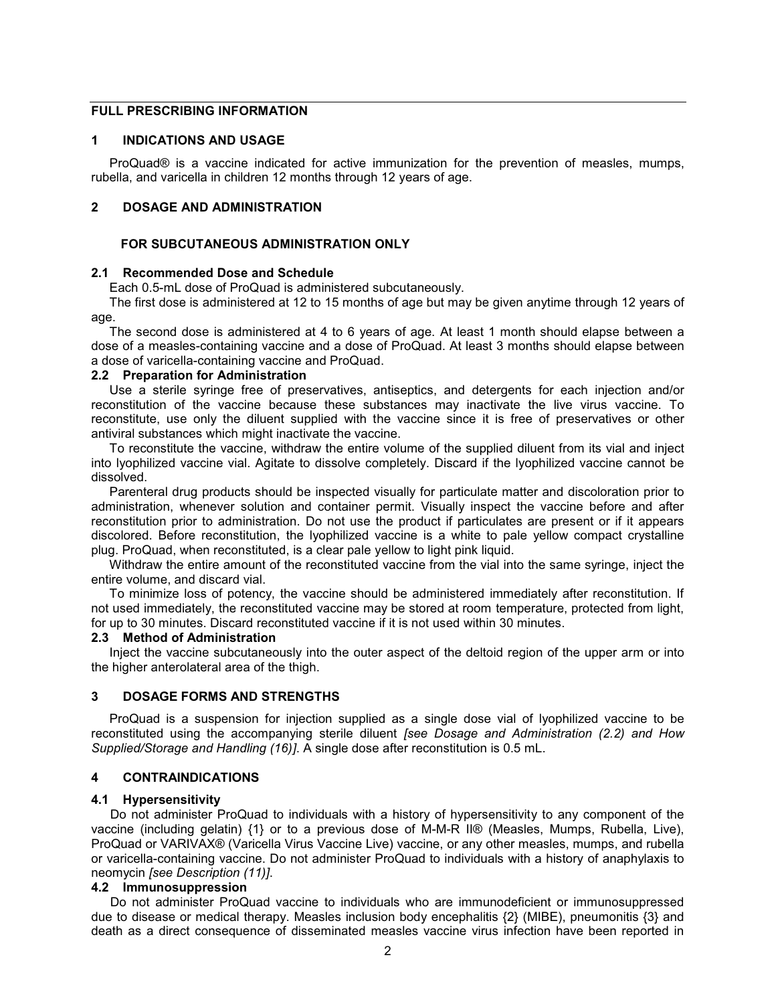## **FULL PRESCRIBING INFORMATION**

## **1 INDICATIONS AND USAGE**

ProQuad® is a vaccine indicated for active immunization for the prevention of measles, mumps, rubella, and varicella in children 12 months through 12 years of age.

## **2 DOSAGE AND ADMINISTRATION**

## **FOR SUBCUTANEOUS ADMINISTRATION ONLY**

## **2.1 Recommended Dose and Schedule**

Each 0.5-mL dose of ProQuad is administered subcutaneously.

The first dose is administered at 12 to 15 months of age but may be given anytime through 12 years of age.

The second dose is administered at 4 to 6 years of age. At least 1 month should elapse between a dose of a measles-containing vaccine and a dose of ProQuad. At least 3 months should elapse between a dose of varicella-containing vaccine and ProQuad.

#### **2.2 Preparation for Administration**

Use a sterile syringe free of preservatives, antiseptics, and detergents for each injection and/or reconstitution of the vaccine because these substances may inactivate the live virus vaccine. To reconstitute, use only the diluent supplied with the vaccine since it is free of preservatives or other antiviral substances which might inactivate the vaccine.

To reconstitute the vaccine, withdraw the entire volume of the supplied diluent from its vial and inject into lyophilized vaccine vial. Agitate to dissolve completely. Discard if the lyophilized vaccine cannot be dissolved.

Parenteral drug products should be inspected visually for particulate matter and discoloration prior to administration, whenever solution and container permit. Visually inspect the vaccine before and after reconstitution prior to administration. Do not use the product if particulates are present or if it appears discolored. Before reconstitution, the lyophilized vaccine is a white to pale yellow compact crystalline plug. ProQuad, when reconstituted, is a clear pale yellow to light pink liquid.

Withdraw the entire amount of the reconstituted vaccine from the vial into the same syringe, inject the entire volume, and discard vial.

To minimize loss of potency, the vaccine should be administered immediately after reconstitution. If not used immediately, the reconstituted vaccine may be stored at room temperature, protected from light, for up to 30 minutes. Discard reconstituted vaccine if it is not used within 30 minutes.

#### **2.3 Method of Administration**

Inject the vaccine subcutaneously into the outer aspect of the deltoid region of the upper arm or into the higher anterolateral area of the thigh.

#### **3 DOSAGE FORMS AND STRENGTHS**

ProQuad is a suspension for injection supplied as a single dose vial of lyophilized vaccine to be reconstituted using the accompanying sterile diluent *[see Dosage and Administration (2.2) and How Supplied/Storage and Handling (16)]*. A single dose after reconstitution is 0.5 mL.

## **4 CONTRAINDICATIONS**

## **4.1 Hypersensitivity**

Do not administer ProQuad to individuals with a history of hypersensitivity to any component of the vaccine (including gelatin) {1} or to a previous dose of M-M-R II® (Measles, Mumps, Rubella, Live), ProQuad or VARIVAX® (Varicella Virus Vaccine Live) vaccine, or any other measles, mumps, and rubella or varicella-containing vaccine. Do not administer ProQuad to individuals with a history of anaphylaxis to neomycin *[see Description (11)]*.

#### **4.2 Immunosuppression**

Do not administer ProQuad vaccine to individuals who are immunodeficient or immunosuppressed due to disease or medical therapy. Measles inclusion body encephalitis {2} (MIBE), pneumonitis {3} and death as a direct consequence of disseminated measles vaccine virus infection have been reported in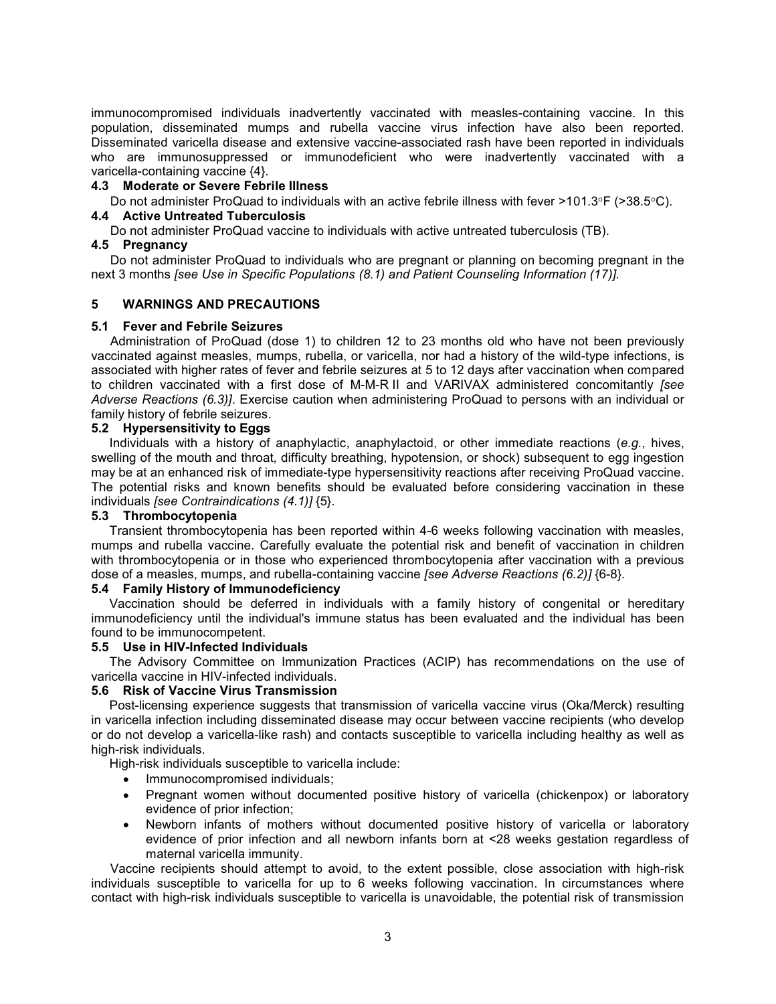immunocompromised individuals inadvertently vaccinated with measles-containing vaccine. In this population, disseminated mumps and rubella vaccine virus infection have also been reported. Disseminated varicella disease and extensive vaccine-associated rash have been reported in individuals who are immunosuppressed or immunodeficient who were inadvertently vaccinated with a varicella-containing vaccine {4}.

## **4.3 Moderate or Severe Febrile Illness**

Do not administer ProQuad to individuals with an active febrile illness with fever >101.3°F (>38.5°C). **4.4 Active Untreated Tuberculosis**

Do not administer ProQuad vaccine to individuals with active untreated tuberculosis (TB).

## **4.5 Pregnancy**

Do not administer ProQuad to individuals who are pregnant or planning on becoming pregnant in the next 3 months *[see Use in Specific Populations (8.1) and Patient Counseling Information (17)].*

## **5 WARNINGS AND PRECAUTIONS**

#### **5.1 Fever and Febrile Seizures**

Administration of ProQuad (dose 1) to children 12 to 23 months old who have not been previously vaccinated against measles, mumps, rubella, or varicella, nor had a history of the wild-type infections, is associated with higher rates of fever and febrile seizures at 5 to 12 days after vaccination when compared to children vaccinated with a first dose of M-M-R II and VARIVAX administered concomitantly *[see Adverse Reactions (6.3)]*. Exercise caution when administering ProQuad to persons with an individual or family history of febrile seizures.

## **5.2 Hypersensitivity to Eggs**

Individuals with a history of anaphylactic, anaphylactoid, or other immediate reactions (*e.g.*, hives, swelling of the mouth and throat, difficulty breathing, hypotension, or shock) subsequent to egg ingestion may be at an enhanced risk of immediate-type hypersensitivity reactions after receiving ProQuad vaccine. The potential risks and known benefits should be evaluated before considering vaccination in these individuals *[see Contraindications (4.1)]* {5}.

## **5.3 Thrombocytopenia**

Transient thrombocytopenia has been reported within 4-6 weeks following vaccination with measles, mumps and rubella vaccine. Carefully evaluate the potential risk and benefit of vaccination in children with thrombocytopenia or in those who experienced thrombocytopenia after vaccination with a previous dose of a measles, mumps, and rubella-containing vaccine *[see Adverse Reactions (6.2)]* {6-8}*.*

# **5.4 Family History of Immunodeficiency**

Vaccination should be deferred in individuals with a family history of congenital or hereditary immunodeficiency until the individual's immune status has been evaluated and the individual has been found to be immunocompetent.

## **5.5 Use in HIV-Infected Individuals**

The Advisory Committee on Immunization Practices (ACIP) has recommendations on the use of varicella vaccine in HIV-infected individuals.

## **5.6 Risk of Vaccine Virus Transmission**

Post-licensing experience suggests that transmission of varicella vaccine virus (Oka/Merck) resulting in varicella infection including disseminated disease may occur between vaccine recipients (who develop or do not develop a varicella-like rash) and contacts susceptible to varicella including healthy as well as high-risk individuals.

High-risk individuals susceptible to varicella include:

- Immunocompromised individuals;
- Pregnant women without documented positive history of varicella (chickenpox) or laboratory evidence of prior infection;
- Newborn infants of mothers without documented positive history of varicella or laboratory evidence of prior infection and all newborn infants born at <28 weeks gestation regardless of maternal varicella immunity.

Vaccine recipients should attempt to avoid, to the extent possible, close association with high-risk individuals susceptible to varicella for up to 6 weeks following vaccination. In circumstances where contact with high-risk individuals susceptible to varicella is unavoidable, the potential risk of transmission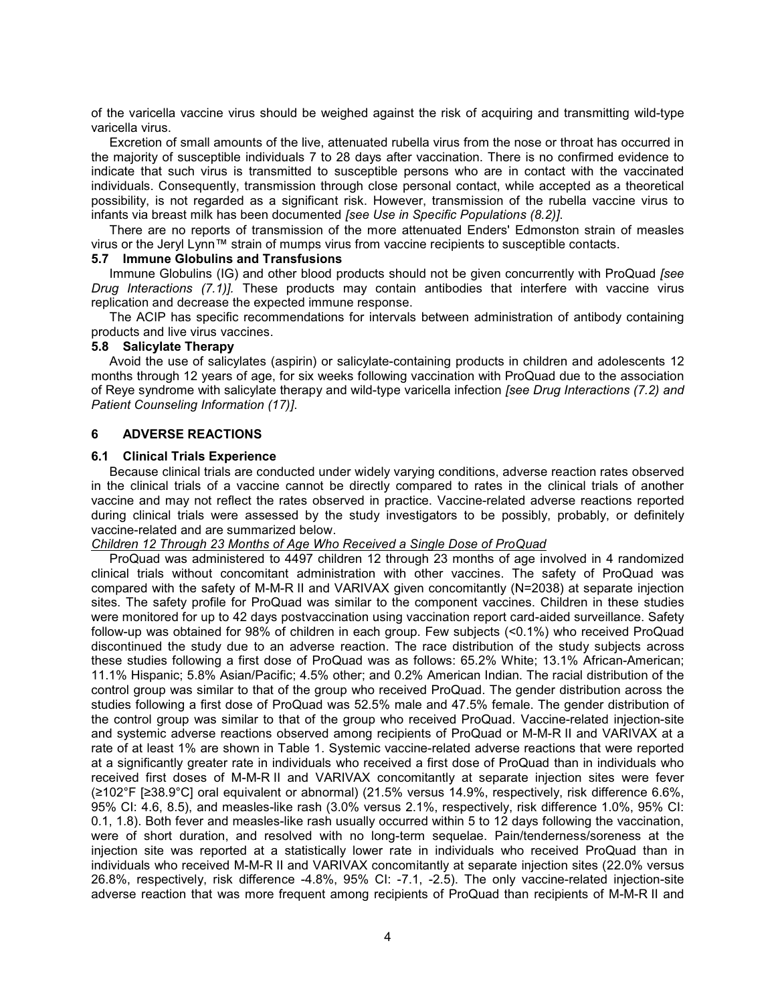of the varicella vaccine virus should be weighed against the risk of acquiring and transmitting wild-type varicella virus.

Excretion of small amounts of the live, attenuated rubella virus from the nose or throat has occurred in the majority of susceptible individuals 7 to 28 days after vaccination. There is no confirmed evidence to indicate that such virus is transmitted to susceptible persons who are in contact with the vaccinated individuals. Consequently, transmission through close personal contact, while accepted as a theoretical possibility, is not regarded as a significant risk. However, transmission of the rubella vaccine virus to infants via breast milk has been documented *[see Use in Specific Populations (8.2)]*.

There are no reports of transmission of the more attenuated Enders' Edmonston strain of measles virus or the Jeryl Lynn™ strain of mumps virus from vaccine recipients to susceptible contacts.

# **5.7 Immune Globulins and Transfusions**

Immune Globulins (IG) and other blood products should not be given concurrently with ProQuad *[see Drug Interactions (7.1)].* These products may contain antibodies that interfere with vaccine virus replication and decrease the expected immune response.

The ACIP has specific recommendations for intervals between administration of antibody containing products and live virus vaccines.

## **5.8 Salicylate Therapy**

Avoid the use of salicylates (aspirin) or salicylate-containing products in children and adolescents 12 months through 12 years of age, for six weeks following vaccination with ProQuad due to the association of Reye syndrome with salicylate therapy and wild-type varicella infection *[see Drug Interactions (7.2) and Patient Counseling Information (17)]*.

#### **6 ADVERSE REACTIONS**

## **6.1 Clinical Trials Experience**

Because clinical trials are conducted under widely varying conditions, adverse reaction rates observed in the clinical trials of a vaccine cannot be directly compared to rates in the clinical trials of another vaccine and may not reflect the rates observed in practice. Vaccine-related adverse reactions reported during clinical trials were assessed by the study investigators to be possibly, probably, or definitely vaccine-related and are summarized below.

## *Children 12 Through 23 Months of Age Who Received a Single Dose of ProQuad*

ProQuad was administered to 4497 children 12 through 23 months of age involved in 4 randomized clinical trials without concomitant administration with other vaccines. The safety of ProQuad was compared with the safety of M-M-R II and VARIVAX given concomitantly (N=2038) at separate injection sites. The safety profile for ProQuad was similar to the component vaccines. Children in these studies were monitored for up to 42 days postvaccination using vaccination report card-aided surveillance. Safety follow-up was obtained for 98% of children in each group. Few subjects (<0.1%) who received ProQuad discontinued the study due to an adverse reaction. The race distribution of the study subjects across these studies following a first dose of ProQuad was as follows: 65.2% White; 13.1% African-American; 11.1% Hispanic; 5.8% Asian/Pacific; 4.5% other; and 0.2% American Indian. The racial distribution of the control group was similar to that of the group who received ProQuad. The gender distribution across the studies following a first dose of ProQuad was 52.5% male and 47.5% female. The gender distribution of the control group was similar to that of the group who received ProQuad. Vaccine-related injection-site and systemic adverse reactions observed among recipients of ProQuad or M-M-R II and VARIVAX at a rate of at least 1% are shown in Table 1. Systemic vaccine-related adverse reactions that were reported at a significantly greater rate in individuals who received a first dose of ProQuad than in individuals who received first doses of M-M-R II and VARIVAX concomitantly at separate injection sites were fever (≥102°F [≥38.9°C] oral equivalent or abnormal) (21.5% versus 14.9%, respectively, risk difference 6.6%, 95% CI: 4.6, 8.5), and measles-like rash (3.0% versus 2.1%, respectively, risk difference 1.0%, 95% CI: 0.1, 1.8). Both fever and measles-like rash usually occurred within 5 to 12 days following the vaccination, were of short duration, and resolved with no long-term sequelae. Pain/tenderness/soreness at the injection site was reported at a statistically lower rate in individuals who received ProQuad than in individuals who received M-M-R II and VARIVAX concomitantly at separate injection sites (22.0% versus 26.8%, respectively, risk difference -4.8%, 95% CI: -7.1, -2.5). The only vaccine-related injection-site adverse reaction that was more frequent among recipients of ProQuad than recipients of M-M-R II and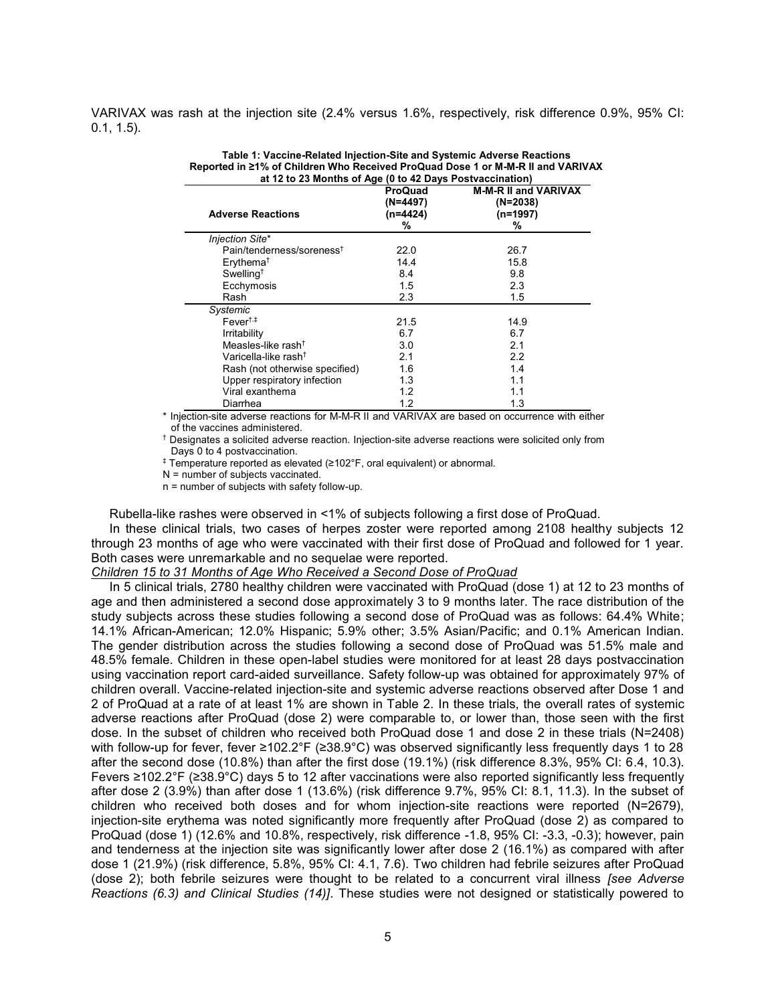VARIVAX was rash at the injection site (2.4% versus 1.6%, respectively, risk difference 0.9%, 95% CI: 0.1, 1.5).

| <b>Adverse Reactions</b>              | <b>ProQuad</b><br>(N=4497)<br>(n=4424)<br>% | <b>M-M-R II and VARIVAX</b><br>$(N=2038)$<br>$(n=1997)$<br>% |
|---------------------------------------|---------------------------------------------|--------------------------------------------------------------|
| Injection Site*                       |                                             |                                                              |
| Pain/tenderness/soreness <sup>†</sup> | 22.0                                        | 26.7                                                         |
| Erythema <sup>†</sup>                 | 14.4                                        | 15.8                                                         |
| Swelling <sup>†</sup>                 | 8.4                                         | 9.8                                                          |
| Ecchymosis                            | 1.5                                         | 2.3                                                          |
| Rash                                  | 2.3                                         | 1.5                                                          |
| Systemic                              |                                             |                                                              |
| $Fever^{\dagger,\ddagger}$            | 21.5                                        | 14.9                                                         |
| Irritability                          | 6.7                                         | 6.7                                                          |
| Measles-like rash <sup>+</sup>        | 3.0                                         | 2.1                                                          |
| Varicella-like rash <sup>†</sup>      | 2.1                                         | 2.2                                                          |
| Rash (not otherwise specified)        | 1.6                                         | 1.4                                                          |
| Upper respiratory infection           | 1.3                                         | 1.1                                                          |
| Viral exanthema                       | 1.2                                         | 1.1                                                          |
| Diarrhea                              | 1.2                                         | 1.3                                                          |

**Table 1: Vaccine-Related Injection-Site and Systemic Adverse Reactions Reported in ≥1% of Children Who Received ProQuad Dose 1 or M-M-R II and VARIVAX at 12 to 23 Months of Age (0 to 42 Days Postvaccination)**

\* Injection-site adverse reactions for M-M-R II and VARIVAX are based on occurrence with either of the vaccines administered.

† Designates a solicited adverse reaction. Injection-site adverse reactions were solicited only from Days 0 to 4 postvaccination.

‡ Temperature reported as elevated (≥102°F, oral equivalent) or abnormal.

N = number of subjects vaccinated.

n = number of subjects with safety follow-up.

Rubella-like rashes were observed in <1% of subjects following a first dose of ProQuad.

In these clinical trials, two cases of herpes zoster were reported among 2108 healthy subjects 12 through 23 months of age who were vaccinated with their first dose of ProQuad and followed for 1 year. Both cases were unremarkable and no sequelae were reported.

*Children 15 to 31 Months of Age Who Received a Second Dose of ProQuad*

In 5 clinical trials, 2780 healthy children were vaccinated with ProQuad (dose 1) at 12 to 23 months of age and then administered a second dose approximately 3 to 9 months later. The race distribution of the study subjects across these studies following a second dose of ProQuad was as follows: 64.4% White; 14.1% African-American; 12.0% Hispanic; 5.9% other; 3.5% Asian/Pacific; and 0.1% American Indian. The gender distribution across the studies following a second dose of ProQuad was 51.5% male and 48.5% female. Children in these open-label studies were monitored for at least 28 days postvaccination using vaccination report card-aided surveillance. Safety follow-up was obtained for approximately 97% of children overall. Vaccine-related injection-site and systemic adverse reactions observed after Dose 1 and 2 of ProQuad at a rate of at least 1% are shown in Table 2. In these trials, the overall rates of systemic adverse reactions after ProQuad (dose 2) were comparable to, or lower than, those seen with the first dose. In the subset of children who received both ProQuad dose 1 and dose 2 in these trials (N=2408) with follow-up for fever, fever ≥102.2°F (≥38.9°C) was observed significantly less frequently days 1 to 28 after the second dose (10.8%) than after the first dose (19.1%) (risk difference 8.3%, 95% CI: 6.4, 10.3). Fevers ≥102.2°F (≥38.9°C) days 5 to 12 after vaccinations were also reported significantly less frequently after dose 2 (3.9%) than after dose 1 (13.6%) (risk difference 9.7%, 95% CI: 8.1, 11.3). In the subset of children who received both doses and for whom injection-site reactions were reported (N=2679), injection-site erythema was noted significantly more frequently after ProQuad (dose 2) as compared to ProQuad (dose 1) (12.6% and 10.8%, respectively, risk difference -1.8, 95% CI: -3.3, -0.3); however, pain and tenderness at the injection site was significantly lower after dose 2 (16.1%) as compared with after dose 1 (21.9%) (risk difference, 5.8%, 95% CI: 4.1, 7.6). Two children had febrile seizures after ProQuad (dose 2); both febrile seizures were thought to be related to a concurrent viral illness *[see Adverse Reactions (6.3) and Clinical Studies (14)]*. These studies were not designed or statistically powered to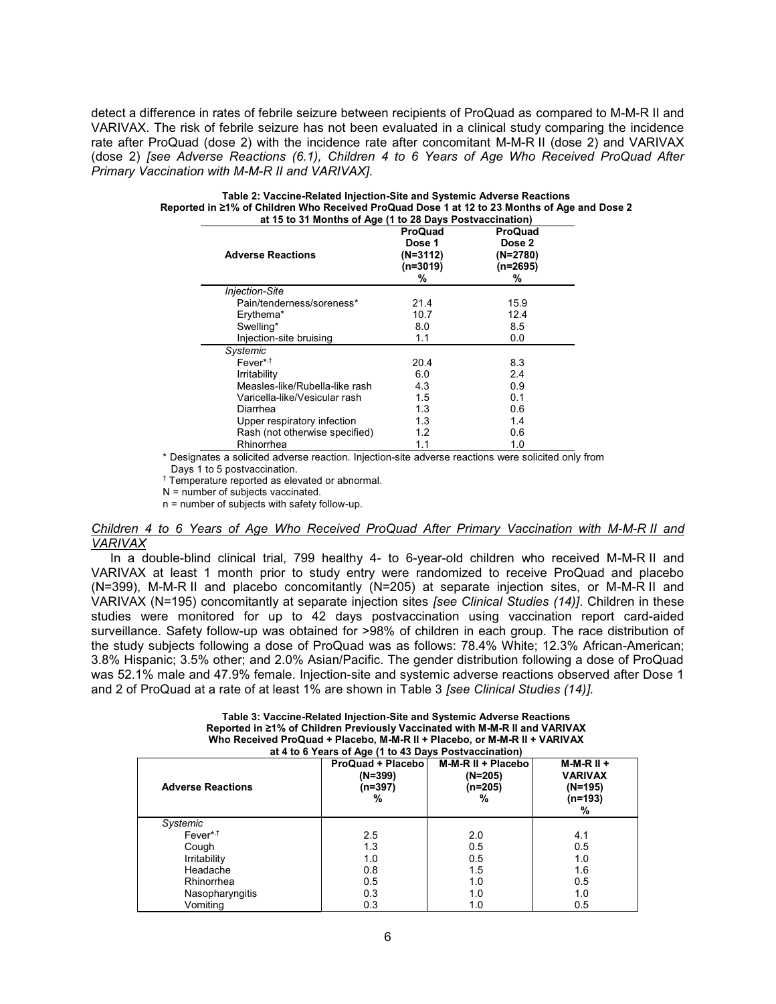detect a difference in rates of febrile seizure between recipients of ProQuad as compared to M-M-R II and VARIVAX. The risk of febrile seizure has not been evaluated in a clinical study comparing the incidence rate after ProQuad (dose 2) with the incidence rate after concomitant M-M-R II (dose 2) and VARIVAX (dose 2) *[see Adverse Reactions (6.1), Children 4 to 6 Years of Age Who Received ProQuad After Primary Vaccination with M-M-R II and VARIVAX].*

| <b>Adverse Reactions</b>       | <b>ProQuad</b><br>Dose 1<br>(N=3112)<br>$(n=3019)$<br>% | <b>ProQuad</b><br>Dose 2<br>$(N=2780)$<br>$(n=2695)$<br>% |
|--------------------------------|---------------------------------------------------------|-----------------------------------------------------------|
| <b>Injection-Site</b>          |                                                         |                                                           |
| Pain/tenderness/soreness*      | 21.4                                                    | 15.9                                                      |
| Erythema*                      | 10.7                                                    | 12.4                                                      |
| Swelling*                      | 8.0                                                     | 8.5                                                       |
| Injection-site bruising        | 1.1                                                     | 0.0                                                       |
| Systemic                       |                                                         |                                                           |
| Fever* <sup>,†</sup>           | 20.4                                                    | 8.3                                                       |
| Irritability                   | 6.0                                                     | 2.4                                                       |
| Measles-like/Rubella-like rash | 4.3                                                     | 0.9                                                       |
| Varicella-like/Vesicular rash  | 1.5                                                     | 0.1                                                       |
| Diarrhea                       | 1.3                                                     | 0.6                                                       |
| Upper respiratory infection    | 1.3                                                     | 1.4                                                       |
| Rash (not otherwise specified) | 1.2                                                     | 0.6                                                       |
| Rhinorrhea                     | 1.1                                                     | 1.0                                                       |

| Table 2: Vaccine-Related Injection-Site and Systemic Adverse Reactions                       |
|----------------------------------------------------------------------------------------------|
| Reported in ≥1% of Children Who Received ProQuad Dose 1 at 12 to 23 Months of Age and Dose 2 |
| at 15 to 31 Months of Age (1 to 28 Days Postvaccination)                                     |

\* Designates a solicited adverse reaction. Injection-site adverse reactions were solicited only from

Days 1 to 5 postvaccination.

† Temperature reported as elevated or abnormal.

N = number of subjects vaccinated.

n = number of subjects with safety follow-up.

#### *Children 4 to 6 Years of Age Who Received ProQuad After Primary Vaccination with M-M-R II and VARIVAX*

In a double-blind clinical trial, 799 healthy 4- to 6-year-old children who received M-M-R II and VARIVAX at least 1 month prior to study entry were randomized to receive ProQuad and placebo (N=399), M-M-R II and placebo concomitantly (N=205) at separate injection sites, or M-M-R II and VARIVAX (N=195) concomitantly at separate injection sites *[see Clinical Studies (14)]*. Children in these studies were monitored for up to 42 days postvaccination using vaccination report card-aided surveillance. Safety follow-up was obtained for >98% of children in each group. The race distribution of the study subjects following a dose of ProQuad was as follows: 78.4% White; 12.3% African-American; 3.8% Hispanic; 3.5% other; and 2.0% Asian/Pacific. The gender distribution following a dose of ProQuad was 52.1% male and 47.9% female. Injection-site and systemic adverse reactions observed after Dose 1 and 2 of ProQuad at a rate of at least 1% are shown in Table 3 *[see Clinical Studies (14)].*

| Table 3: Vaccine-Related Injection-Site and Systemic Adverse Reactions      |
|-----------------------------------------------------------------------------|
| Reported in ≥1% of Children Previously Vaccinated with M-M-R II and VARIVAX |
| Who Received ProQuad + Placebo, M-M-R II + Placebo, or M-M-R II + VARIVAX   |
| at A to 6 Vegre of Age (1 to A3 Dave Postuaccination)                       |

| <b>Adverse Reactions</b> | ProQuad + Placebol<br>$(N=399)$<br>(n=397)<br>% | M-M-R II + Placebo<br>(N=205)<br>(n=205)<br>% | $M-M-R II +$<br><b>VARIVAX</b><br>$(N=195)$<br>(n=193)<br>% |
|--------------------------|-------------------------------------------------|-----------------------------------------------|-------------------------------------------------------------|
| Systemic                 |                                                 |                                               |                                                             |
| Fever* <sup>,†</sup>     | 2.5                                             | 2.0                                           | 4.1                                                         |
| Cough                    | 1.3                                             | 0.5                                           | 0.5                                                         |
| Irritability             | 1.0                                             | 0.5                                           | 1.0                                                         |
| Headache                 | 0.8                                             | 1.5                                           | 1.6                                                         |
| Rhinorrhea               | 0.5                                             | 1.0                                           | 0.5                                                         |
| Nasopharyngitis          | 0.3                                             | 1.0                                           | 1.0                                                         |
| Vomiting                 | 0.3                                             | 1.0                                           | 0.5                                                         |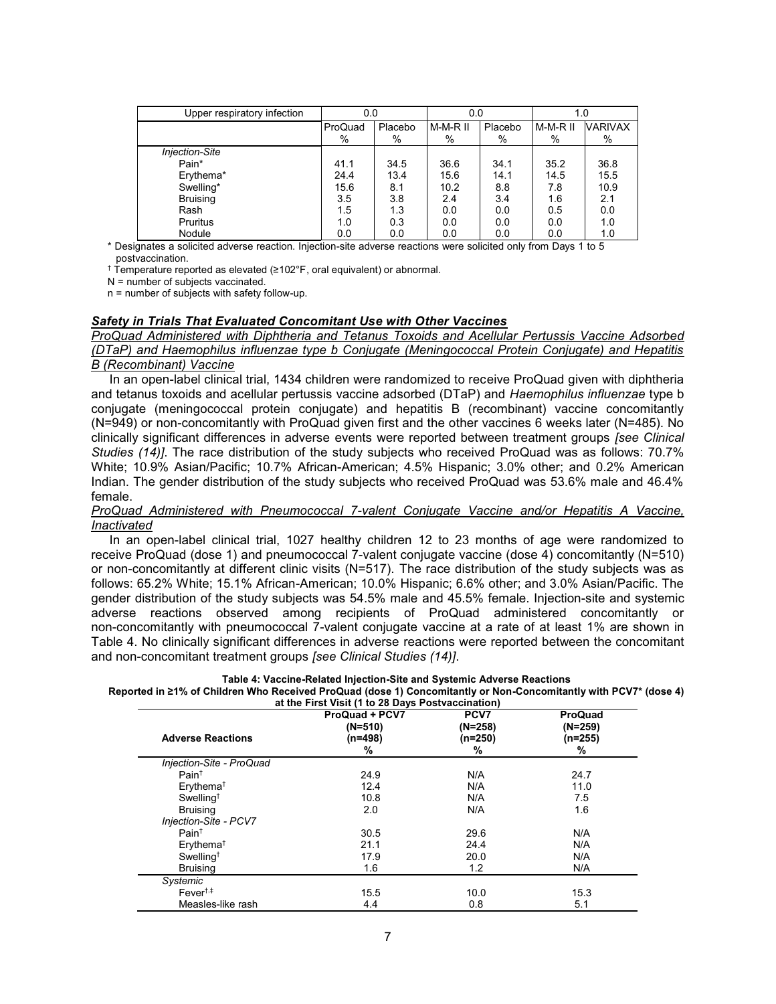| Upper respiratory infection | 0.0     |         | 0.0        |         | 1.0      |                |
|-----------------------------|---------|---------|------------|---------|----------|----------------|
|                             | ProQuad | Placebo | $M-M-R$ II | Placebo | M-M-R II | <b>VARIVAX</b> |
|                             | %       | %       | %          | $\%$    | %        | %              |
| <b>Injection-Site</b>       |         |         |            |         |          |                |
| Pain*                       | 41.1    | 34.5    | 36.6       | 34.1    | 35.2     | 36.8           |
| Erythema*                   | 24.4    | 13.4    | 15.6       | 14.1    | 14.5     | 15.5           |
| Swelling*                   | 15.6    | 8.1     | 10.2       | 8.8     | 7.8      | 10.9           |
| <b>Bruising</b>             | 3.5     | 3.8     | 2.4        | 3.4     | 1.6      | 2.1            |
| Rash                        | 1.5     | 1.3     | 0.0        | 0.0     | 0.5      | 0.0            |
| Pruritus                    | 1.0     | 0.3     | 0.0        | 0.0     | 0.0      | 1.0            |
| Nodule                      | 0.0     | 0.0     | 0.0        | 0.0     | 0.0      | 1.0            |

\* Designates a solicited adverse reaction. Injection-site adverse reactions were solicited only from Days 1 to 5 postvaccination.

† Temperature reported as elevated (≥102°F, oral equivalent) or abnormal.

N = number of subjects vaccinated.

n = number of subjects with safety follow-up.

## *Safety in Trials That Evaluated Concomitant Use with Other Vaccines*

*ProQuad Administered with Diphtheria and Tetanus Toxoids and Acellular Pertussis Vaccine Adsorbed (DTaP) and Haemophilus influenzae type b Conjugate (Meningococcal Protein Conjugate) and Hepatitis B (Recombinant) Vaccine*

In an open-label clinical trial, 1434 children were randomized to receive ProQuad given with diphtheria and tetanus toxoids and acellular pertussis vaccine adsorbed (DTaP) and *Haemophilus influenzae* type b conjugate (meningococcal protein conjugate) and hepatitis B (recombinant) vaccine concomitantly (N=949) or non-concomitantly with ProQuad given first and the other vaccines 6 weeks later (N=485). No clinically significant differences in adverse events were reported between treatment groups *[see Clinical Studies (14)]*. The race distribution of the study subjects who received ProQuad was as follows: 70.7% White; 10.9% Asian/Pacific; 10.7% African-American; 4.5% Hispanic; 3.0% other; and 0.2% American Indian. The gender distribution of the study subjects who received ProQuad was 53.6% male and 46.4% female.

## *ProQuad Administered with Pneumococcal 7-valent Conjugate Vaccine and/or Hepatitis A Vaccine, Inactivated*

In an open-label clinical trial, 1027 healthy children 12 to 23 months of age were randomized to receive ProQuad (dose 1) and pneumococcal 7-valent conjugate vaccine (dose 4) concomitantly (N=510) or non-concomitantly at different clinic visits (N=517). The race distribution of the study subjects was as follows: 65.2% White; 15.1% African-American; 10.0% Hispanic; 6.6% other; and 3.0% Asian/Pacific. The gender distribution of the study subjects was 54.5% male and 45.5% female. Injection-site and systemic adverse reactions observed among recipients of ProQuad administered concomitantly or non-concomitantly with pneumococcal 7-valent conjugate vaccine at a rate of at least 1% are shown in Table 4. No clinically significant differences in adverse reactions were reported between the concomitant and non-concomitant treatment groups *[see Clinical Studies (14)]*.

## **Table 4: Vaccine-Related Injection-Site and Systemic Adverse Reactions**

**Reported in ≥1% of Children Who Received ProQuad (dose 1) Concomitantly or Non-Concomitantly with PCV7\* (dose 4) at the First Visit (1 to 28 Days Postvaccination)**

| <b>Adverse Reactions</b>                 | <b>ProQuad + PCV7</b><br>(N=510)<br>(n=498)<br>% | PCV7<br>(N=258)<br>(n=250)<br>% | <b>ProQuad</b><br>$(N=259)$<br>(n=255)<br>℅ |
|------------------------------------------|--------------------------------------------------|---------------------------------|---------------------------------------------|
| Injection-Site - ProQuad                 |                                                  |                                 |                                             |
| Pain <sup>†</sup>                        | 24.9                                             | N/A                             | 24.7                                        |
| Erythema <sup>†</sup>                    | 12.4                                             | N/A                             | 11.0                                        |
| Swelling <sup><math>\dagger</math></sup> | 10.8                                             | N/A                             | 7.5                                         |
| <b>Bruising</b>                          | 2.0                                              | N/A                             | 1.6                                         |
| Injection-Site - PCV7                    |                                                  |                                 |                                             |
| Pain <sup>†</sup>                        | 30.5                                             | 29.6                            | N/A                                         |
| Erythema <sup>†</sup>                    | 21.1                                             | 24.4                            | N/A                                         |
| Swelling <sup><math>†</math></sup>       | 17.9                                             | 20.0                            | N/A                                         |
| <b>Bruising</b>                          | 1.6                                              | 1.2                             | N/A                                         |
| Systemic                                 |                                                  |                                 |                                             |
| $Fever^{\dagger,\ddagger}$               | 15.5                                             | 10.0                            | 15.3                                        |
| Measles-like rash                        | 4.4                                              | 0.8                             | 5.1                                         |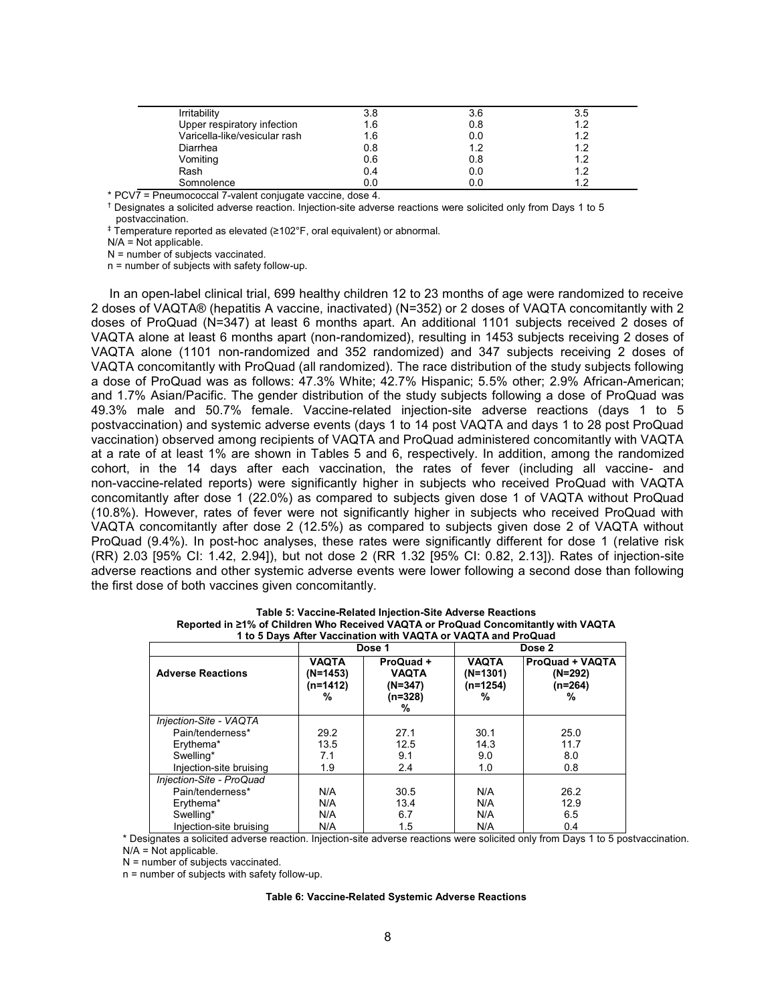| Irritability                  | 3.8 | 3.6 | 3.5 |
|-------------------------------|-----|-----|-----|
| Upper respiratory infection   | 1.6 | 0.8 | 1 つ |
| Varicella-like/vesicular rash | 1.6 | 0.0 | 12  |
| Diarrhea                      | 0.8 | 1.2 | 1 つ |
| Vomiting                      | 0.6 | 0.8 | 19  |
| Rash                          | 0.4 | 0.0 | 12  |
| Somnolence                    | 0.0 | 0.0 |     |

\* PCV7 = Pneumococcal 7-valent conjugate vaccine, dose 4.

† Designates a solicited adverse reaction. Injection-site adverse reactions were solicited only from Days 1 to 5 postvaccination.

‡ Temperature reported as elevated (≥102°F, oral equivalent) or abnormal.

N/A = Not applicable.

N = number of subjects vaccinated.

n = number of subjects with safety follow-up.

In an open-label clinical trial, 699 healthy children 12 to 23 months of age were randomized to receive 2 doses of VAQTA® (hepatitis A vaccine, inactivated) (N=352) or 2 doses of VAQTA concomitantly with 2 doses of ProQuad (N=347) at least 6 months apart. An additional 1101 subjects received 2 doses of VAQTA alone at least 6 months apart (non-randomized), resulting in 1453 subjects receiving 2 doses of VAQTA alone (1101 non-randomized and 352 randomized) and 347 subjects receiving 2 doses of VAQTA concomitantly with ProQuad (all randomized). The race distribution of the study subjects following a dose of ProQuad was as follows: 47.3% White; 42.7% Hispanic; 5.5% other; 2.9% African-American; and 1.7% Asian/Pacific. The gender distribution of the study subjects following a dose of ProQuad was 49.3% male and 50.7% female. Vaccine-related injection-site adverse reactions (days 1 to 5 postvaccination) and systemic adverse events (days 1 to 14 post VAQTA and days 1 to 28 post ProQuad vaccination) observed among recipients of VAQTA and ProQuad administered concomitantly with VAQTA at a rate of at least 1% are shown in Tables 5 and 6, respectively. In addition, among the randomized cohort, in the 14 days after each vaccination, the rates of fever (including all vaccine- and non-vaccine-related reports) were significantly higher in subjects who received ProQuad with VAQTA concomitantly after dose 1 (22.0%) as compared to subjects given dose 1 of VAQTA without ProQuad (10.8%). However, rates of fever were not significantly higher in subjects who received ProQuad with VAQTA concomitantly after dose 2 (12.5%) as compared to subjects given dose 2 of VAQTA without ProQuad (9.4%). In post-hoc analyses, these rates were significantly different for dose 1 (relative risk (RR) 2.03 [95% CI: 1.42, 2.94]), but not dose 2 (RR 1.32 [95% CI: 0.82, 2.13]). Rates of injection-site adverse reactions and other systemic adverse events were lower following a second dose than following the first dose of both vaccines given concomitantly.

| 1 to 5 Days After Vaccination with VAQTA or VAQTA and ProQuad |                                           |                                                      |                                                                                                    |      |  |  |  |
|---------------------------------------------------------------|-------------------------------------------|------------------------------------------------------|----------------------------------------------------------------------------------------------------|------|--|--|--|
|                                                               |                                           | Dose 1                                               | Dose 2                                                                                             |      |  |  |  |
| <b>Adverse Reactions</b>                                      | <b>VAQTA</b><br>(N=1453)<br>(n=1412)<br>% | ProQuad +<br><b>VAQTA</b><br>(N=347)<br>(n=328)<br>% | <b>ProQuad + VAQTA</b><br><b>VAQTA</b><br>$(N=1301)$<br>$(N=292)$<br>(n=1254)<br>(n=264)<br>%<br>% |      |  |  |  |
| Injection-Site - VAQTA                                        |                                           |                                                      |                                                                                                    |      |  |  |  |
| Pain/tenderness*                                              | 29.2                                      | 27.1                                                 | 30.1                                                                                               | 25.0 |  |  |  |
| Erythema*                                                     | 13.5                                      | 12.5                                                 | 14.3                                                                                               | 11.7 |  |  |  |
| Swelling*                                                     | 7.1                                       | 9.1                                                  | 9.0                                                                                                | 8.0  |  |  |  |
| Injection-site bruising                                       | 1.9                                       | 2.4                                                  | 1.0                                                                                                | 0.8  |  |  |  |
| Injection-Site - ProQuad                                      |                                           |                                                      |                                                                                                    |      |  |  |  |
| Pain/tenderness*                                              | N/A                                       | 30.5                                                 | N/A                                                                                                | 26.2 |  |  |  |
| Erythema*                                                     | N/A                                       | 13.4                                                 | N/A                                                                                                | 12.9 |  |  |  |
| Swelling*                                                     | N/A                                       | 6.7                                                  | N/A                                                                                                | 6.5  |  |  |  |
| Injection-site bruising                                       | N/A                                       | 1.5                                                  | N/A                                                                                                | 0.4  |  |  |  |

**Table 5: Vaccine-Related Injection-Site Adverse Reactions Reported in ≥1% of Children Who Received VAQTA or ProQuad Concomitantly with VAQTA**

\* Designates a solicited adverse reaction. Injection-site adverse reactions were solicited only from Days 1 to 5 postvaccination.  $N/A = Not$  applicable.

N = number of subjects vaccinated.

n = number of subjects with safety follow-up.

#### **Table 6: Vaccine-Related Systemic Adverse Reactions**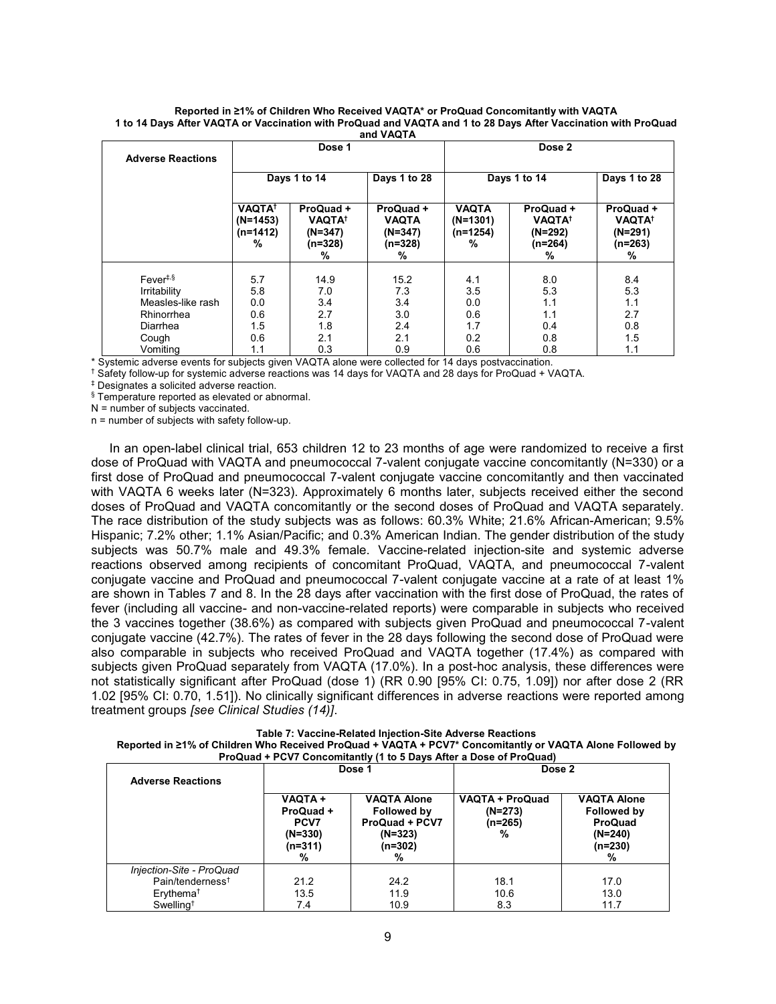| <b>Adverse Reactions</b>                                  | Dose 1                                                    |                                                                      | Dose 2                                                 |                                               |                                                                      |                                                                      |
|-----------------------------------------------------------|-----------------------------------------------------------|----------------------------------------------------------------------|--------------------------------------------------------|-----------------------------------------------|----------------------------------------------------------------------|----------------------------------------------------------------------|
|                                                           |                                                           | Days 1 to 14                                                         | Days 1 to 28                                           |                                               | Days 1 to 14                                                         | Days 1 to 28                                                         |
|                                                           | <b>VAQTA<sup>†</sup></b><br>$(N=1453)$<br>$(n=1412)$<br>% | ProQuad +<br><b>VAQTA<sup>†</sup></b><br>$(N=347)$<br>$(n=328)$<br>℅ | ProQuad +<br><b>VAQTA</b><br>$(N=347)$<br>(n=328)<br>℅ | <b>VAQTA</b><br>$(N=1301)$<br>$(n=1254)$<br>% | ProQuad +<br><b>VAQTA<sup>†</sup></b><br>$(N=292)$<br>$(n=264)$<br>% | ProQuad +<br><b>VAQTA<sup>†</sup></b><br>$(N=291)$<br>$(n=263)$<br>℅ |
| Fever <sup>†,§</sup><br>Irritability<br>Measles-like rash | 5.7<br>5.8<br>0.0                                         | 14.9<br>7.0<br>3.4                                                   | 15.2<br>7.3<br>3.4                                     | 4.1<br>3.5<br>0.0                             | 8.0<br>5.3<br>1.1                                                    | 8.4<br>5.3<br>1.1                                                    |
| Rhinorrhea<br>Diarrhea<br>Cough                           | 0.6<br>1.5<br>0.6                                         | 2.7<br>1.8<br>2.1                                                    | 3.0<br>2.4<br>2.1                                      | 0.6<br>1.7<br>0.2                             | 1.1<br>0.4<br>0.8                                                    | 2.7<br>0.8<br>1.5                                                    |
| Vomiting                                                  | 1.1                                                       | 0.3                                                                  | 0.9                                                    | 0.6                                           | 0.8                                                                  | 1.1                                                                  |

#### **Reported in ≥1% of Children Who Received VAQTA\* or ProQuad Concomitantly with VAQTA 1 to 14 Days After VAQTA or Vaccination with ProQuad and VAQTA and 1 to 28 Days After Vaccination with ProQuad and VAQTA**

\* Systemic adverse events for subjects given VAQTA alone were collected for 14 days postvaccination.

† Safety follow-up for systemic adverse reactions was 14 days for VAQTA and 28 days for ProQuad + VAQTA.

‡ Designates a solicited adverse reaction.

§ Temperature reported as elevated or abnormal.

N = number of subjects vaccinated.

 $n =$  number of subjects with safety follow-up.

In an open-label clinical trial, 653 children 12 to 23 months of age were randomized to receive a first dose of ProQuad with VAQTA and pneumococcal 7-valent conjugate vaccine concomitantly (N=330) or a first dose of ProQuad and pneumococcal 7-valent conjugate vaccine concomitantly and then vaccinated with VAQTA 6 weeks later (N=323). Approximately 6 months later, subjects received either the second doses of ProQuad and VAQTA concomitantly or the second doses of ProQuad and VAQTA separately. The race distribution of the study subjects was as follows: 60.3% White; 21.6% African-American; 9.5% Hispanic; 7.2% other; 1.1% Asian/Pacific; and 0.3% American Indian. The gender distribution of the study subjects was 50.7% male and 49.3% female. Vaccine-related injection-site and systemic adverse reactions observed among recipients of concomitant ProQuad, VAQTA, and pneumococcal 7-valent conjugate vaccine and ProQuad and pneumococcal 7-valent conjugate vaccine at a rate of at least 1% are shown in Tables 7 and 8. In the 28 days after vaccination with the first dose of ProQuad, the rates of fever (including all vaccine- and non-vaccine-related reports) were comparable in subjects who received the 3 vaccines together (38.6%) as compared with subjects given ProQuad and pneumococcal 7-valent conjugate vaccine (42.7%). The rates of fever in the 28 days following the second dose of ProQuad were also comparable in subjects who received ProQuad and VAQTA together (17.4%) as compared with subjects given ProQuad separately from VAQTA (17.0%). In a post-hoc analysis, these differences were not statistically significant after ProQuad (dose 1) (RR 0.90 [95% CI: 0.75, 1.09]) nor after dose 2 (RR 1.02 [95% CI: 0.70, 1.51]). No clinically significant differences in adverse reactions were reported among treatment groups *[see Clinical Studies (14)]*.

**Table 7: Vaccine-Related Injection-Site Adverse Reactions**

| Reported in ≥1% of Children Who Received ProQuad + VAQTA + PCV7* Concomitantly or VAQTA Alone Followed by |  |
|-----------------------------------------------------------------------------------------------------------|--|
| ProQuad + PCV7 Concomitantly (1 to 5 Days After a Dose of ProQuad)                                        |  |

| <b>Adverse Reactions</b>     | Dose 1                                                            |                                                                                         | Dose 2                                              |                                                                                    |  |
|------------------------------|-------------------------------------------------------------------|-----------------------------------------------------------------------------------------|-----------------------------------------------------|------------------------------------------------------------------------------------|--|
|                              | <b>VAQTA+</b><br>ProQuad +<br>PCV7<br>$(N=330)$<br>$(n=311)$<br>% | <b>VAQTA Alone</b><br>Followed by<br><b>ProQuad + PCV7</b><br>$(N=323)$<br>(n=302)<br>% | <b>VAQTA + ProQuad</b><br>$(N=273)$<br>(n=265)<br>% | <b>VAQTA Alone</b><br>Followed by<br><b>ProQuad</b><br>$(N=240)$<br>$(n=230)$<br>% |  |
| Injection-Site - ProQuad     |                                                                   |                                                                                         |                                                     |                                                                                    |  |
| Pain/tenderness <sup>†</sup> | 21.2                                                              | 24.2                                                                                    | 18.1                                                | 17.0                                                                               |  |
| Erythema <sup>†</sup>        | 13.5                                                              | 11.9                                                                                    | 10.6                                                | 13.0                                                                               |  |
| $Swelling^{\dagger}$         | 7.4                                                               | 10.9                                                                                    | 8.3                                                 | 11.7                                                                               |  |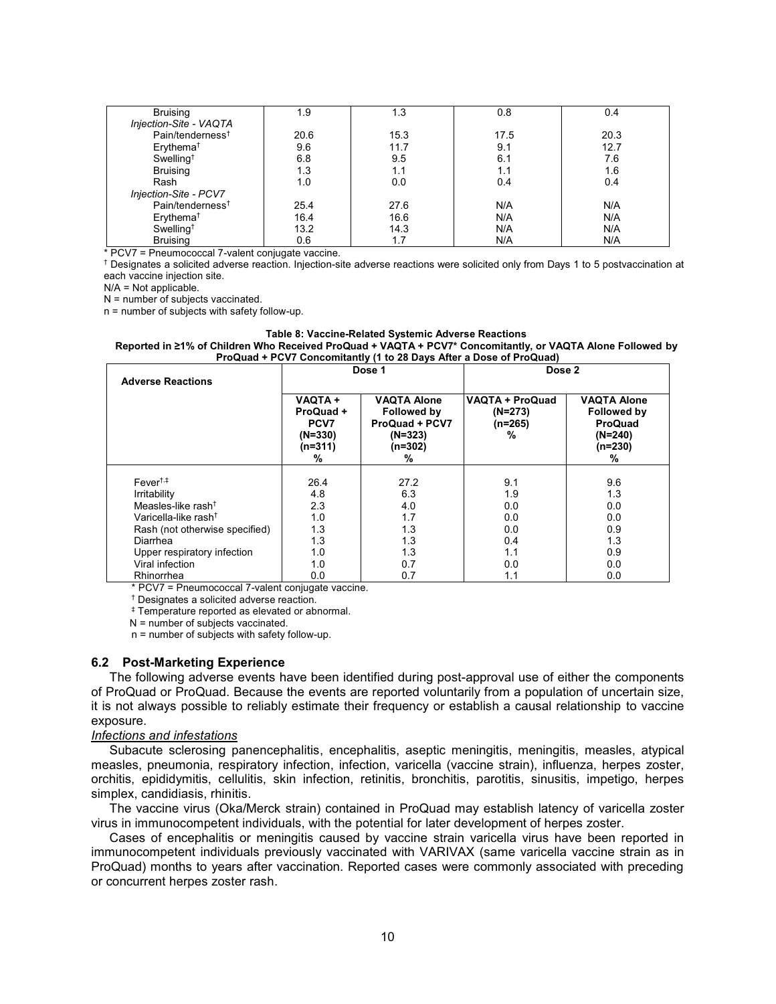| <b>Bruising</b>              | 1.9  | 1.3  | 0.8  | 0.4  |
|------------------------------|------|------|------|------|
| Injection-Site - VAQTA       |      |      |      |      |
| Pain/tenderness <sup>t</sup> | 20.6 | 15.3 | 17.5 | 20.3 |
| Erythema <sup>+</sup>        | 9.6  | 11.7 | 9.1  | 12.7 |
| Swelling <sup>t</sup>        | 6.8  | 9.5  | 6.1  | 7.6  |
| <b>Bruising</b>              | 1.3  | 1.1  | 1.1  | 1.6  |
| Rash                         | 1.0  | 0.0  | 0.4  | 0.4  |
| Injection-Site - PCV7        |      |      |      |      |
| Pain/tenderness <sup>t</sup> | 25.4 | 27.6 | N/A  | N/A  |
| Erythema <sup>+</sup>        | 16.4 | 16.6 | N/A  | N/A  |
| Swelling <sup>+</sup>        | 13.2 | 14.3 | N/A  | N/A  |
| <b>Bruising</b>              | 0.6  | 1.7  | N/A  | N/A  |

\* PCV7 = Pneumococcal 7-valent conjugate vaccine.

† Designates a solicited adverse reaction. Injection-site adverse reactions were solicited only from Days 1 to 5 postvaccination at each vaccine injection site.

 $N/A = Not$  applicable.

N = number of subjects vaccinated.

n = number of subjects with safety follow-up.

#### **Table 8: Vaccine-Related Systemic Adverse Reactions Reported in ≥1% of Children Who Received ProQuad + VAQTA + PCV7\* Concomitantly, or VAQTA Alone Followed by ProQuad + PCV7 Concomitantly (1 to 28 Days After a Dose of ProQuad)**

| <b>Adverse Reactions</b>         |                                                                   | Dose 1                                                                                    | Dose 2                                         |                                                                                    |  |  |
|----------------------------------|-------------------------------------------------------------------|-------------------------------------------------------------------------------------------|------------------------------------------------|------------------------------------------------------------------------------------|--|--|
|                                  | <b>VAQTA+</b><br>ProQuad +<br>PCV7<br>$(N=330)$<br>$(n=311)$<br>% | <b>VAQTA Alone</b><br>Followed by<br><b>ProQuad + PCV7</b><br>$(N=323)$<br>$(n=302)$<br>% | VAQTA + ProQuad<br>$(N=273)$<br>$(n=265)$<br>% | <b>VAQTA Alone</b><br>Followed by<br><b>ProQuad</b><br>$(N=240)$<br>$(n=230)$<br>℅ |  |  |
|                                  |                                                                   |                                                                                           |                                                |                                                                                    |  |  |
| $Fever^{\dagger,\ddagger}$       | 26.4                                                              | 27.2                                                                                      | 9.1                                            | 9.6                                                                                |  |  |
| Irritability                     | 4.8                                                               | 6.3                                                                                       | 1.9                                            | 1.3                                                                                |  |  |
| Measles-like rash <sup>†</sup>   | 2.3                                                               | 4.0                                                                                       | 0.0                                            | 0.0                                                                                |  |  |
| Varicella-like rash <sup>t</sup> | 1.0                                                               | 1.7                                                                                       | 0.0                                            | 0.0                                                                                |  |  |
| Rash (not otherwise specified)   | 1.3                                                               | 1.3                                                                                       | 0.0                                            | 0.9                                                                                |  |  |
| Diarrhea                         | 1.3                                                               | 1.3                                                                                       | 0.4                                            | 1.3                                                                                |  |  |
| Upper respiratory infection      | 1.0                                                               | 1.3                                                                                       | 1.1                                            | 0.9                                                                                |  |  |
| Viral infection                  | 1.0                                                               | 0.7                                                                                       | 0.0                                            | 0.0                                                                                |  |  |
| Rhinorrhea                       | 0.0                                                               | 0.7                                                                                       | 1.1                                            | 0.0                                                                                |  |  |

\* PCV7 = Pneumococcal 7-valent conjugate vaccine.

† Designates a solicited adverse reaction.

‡ Temperature reported as elevated or abnormal.

 $N =$  number of subjects vaccinated.

n = number of subjects with safety follow-up.

#### **6.2 Post-Marketing Experience**

The following adverse events have been identified during post-approval use of either the components of ProQuad or ProQuad. Because the events are reported voluntarily from a population of uncertain size, it is not always possible to reliably estimate their frequency or establish a causal relationship to vaccine exposure.

#### *Infections and infestations*

Subacute sclerosing panencephalitis, encephalitis, aseptic meningitis, meningitis, measles, atypical measles, pneumonia, respiratory infection, infection, varicella (vaccine strain), influenza, herpes zoster, orchitis, epididymitis, cellulitis, skin infection, retinitis, bronchitis, parotitis, sinusitis, impetigo, herpes simplex, candidiasis, rhinitis.

The vaccine virus (Oka/Merck strain) contained in ProQuad may establish latency of varicella zoster virus in immunocompetent individuals, with the potential for later development of herpes zoster.

Cases of encephalitis or meningitis caused by vaccine strain varicella virus have been reported in immunocompetent individuals previously vaccinated with VARIVAX (same varicella vaccine strain as in ProQuad) months to years after vaccination. Reported cases were commonly associated with preceding or concurrent herpes zoster rash.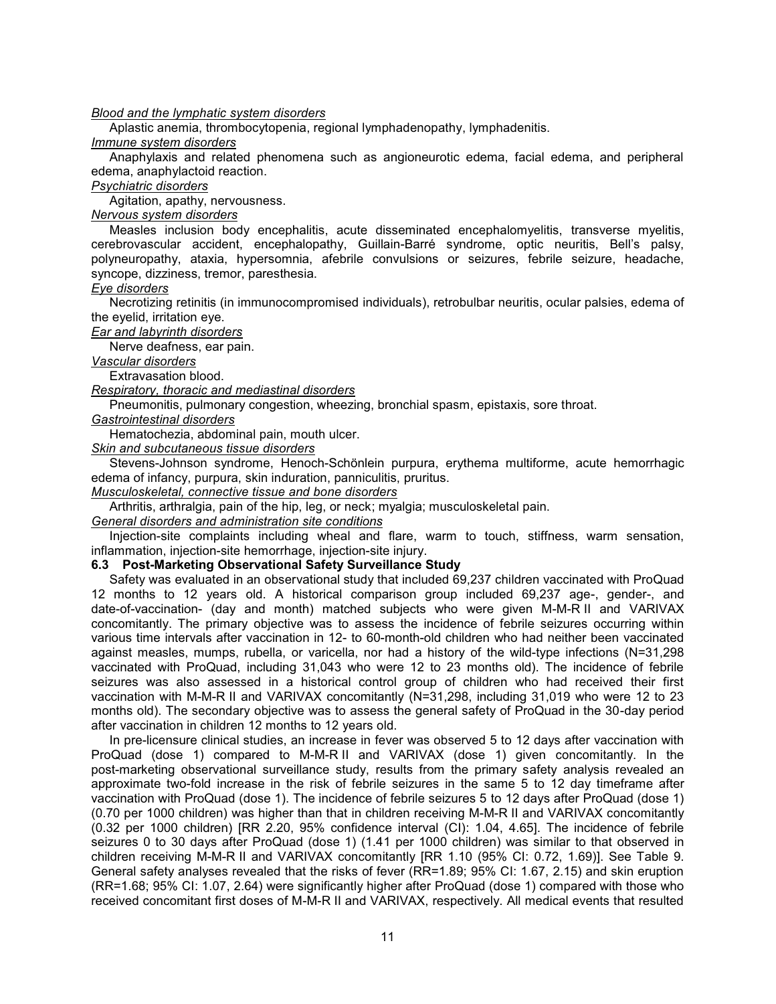*Blood and the lymphatic system disorders*

Aplastic anemia, thrombocytopenia, regional lymphadenopathy, lymphadenitis.

*Immune system disorders*

Anaphylaxis and related phenomena such as angioneurotic edema, facial edema, and peripheral edema, anaphylactoid reaction.

*Psychiatric disorders*

Agitation, apathy, nervousness.

*Nervous system disorders*

Measles inclusion body encephalitis, acute disseminated encephalomyelitis, transverse myelitis, cerebrovascular accident, encephalopathy, Guillain-Barré syndrome, optic neuritis, Bell's palsy, polyneuropathy, ataxia, hypersomnia, afebrile convulsions or seizures, febrile seizure, headache, syncope, dizziness, tremor, paresthesia.

*Eye disorders*

Necrotizing retinitis (in immunocompromised individuals), retrobulbar neuritis, ocular palsies, edema of the eyelid, irritation eye.

*Ear and labyrinth disorders*

Nerve deafness, ear pain.

*Vascular disorders*

Extravasation blood.

*Respiratory, thoracic and mediastinal disorders*

Pneumonitis, pulmonary congestion, wheezing, bronchial spasm, epistaxis, sore throat.

*Gastrointestinal disorders*

Hematochezia, abdominal pain, mouth ulcer.

*Skin and subcutaneous tissue disorders*

Stevens-Johnson syndrome, Henoch-Schönlein purpura, erythema multiforme, acute hemorrhagic edema of infancy, purpura, skin induration, panniculitis, pruritus.

*Musculoskeletal, connective tissue and bone disorders*

Arthritis, arthralgia, pain of the hip, leg, or neck; myalgia; musculoskeletal pain.

*General disorders and administration site conditions*

Injection-site complaints including wheal and flare, warm to touch, stiffness, warm sensation, inflammation, injection-site hemorrhage, injection-site injury.

**6.3 Post-Marketing Observational Safety Surveillance Study**

Safety was evaluated in an observational study that included 69,237 children vaccinated with ProQuad 12 months to 12 years old. A historical comparison group included 69,237 age-, gender-, and date-of-vaccination- (day and month) matched subjects who were given M-M-R II and VARIVAX concomitantly. The primary objective was to assess the incidence of febrile seizures occurring within various time intervals after vaccination in 12- to 60-month-old children who had neither been vaccinated against measles, mumps, rubella, or varicella, nor had a history of the wild-type infections (N=31,298 vaccinated with ProQuad, including 31,043 who were 12 to 23 months old). The incidence of febrile seizures was also assessed in a historical control group of children who had received their first vaccination with M-M-R II and VARIVAX concomitantly (N=31,298, including 31,019 who were 12 to 23 months old). The secondary objective was to assess the general safety of ProQuad in the 30-day period after vaccination in children 12 months to 12 years old.

In pre-licensure clinical studies, an increase in fever was observed 5 to 12 days after vaccination with ProQuad (dose 1) compared to M-M-R II and VARIVAX (dose 1) given concomitantly. In the post-marketing observational surveillance study, results from the primary safety analysis revealed an approximate two-fold increase in the risk of febrile seizures in the same 5 to 12 day timeframe after vaccination with ProQuad (dose 1). The incidence of febrile seizures 5 to 12 days after ProQuad (dose 1) (0.70 per 1000 children) was higher than that in children receiving M-M-R II and VARIVAX concomitantly (0.32 per 1000 children) [RR 2.20, 95% confidence interval (CI): 1.04, 4.65]. The incidence of febrile seizures 0 to 30 days after ProQuad (dose 1) (1.41 per 1000 children) was similar to that observed in children receiving M-M-R II and VARIVAX concomitantly [RR 1.10 (95% CI: 0.72, 1.69)]. See Table 9. General safety analyses revealed that the risks of fever (RR=1.89; 95% CI: 1.67, 2.15) and skin eruption (RR=1.68; 95% CI: 1.07, 2.64) were significantly higher after ProQuad (dose 1) compared with those who received concomitant first doses of M-M-R II and VARIVAX, respectively. All medical events that resulted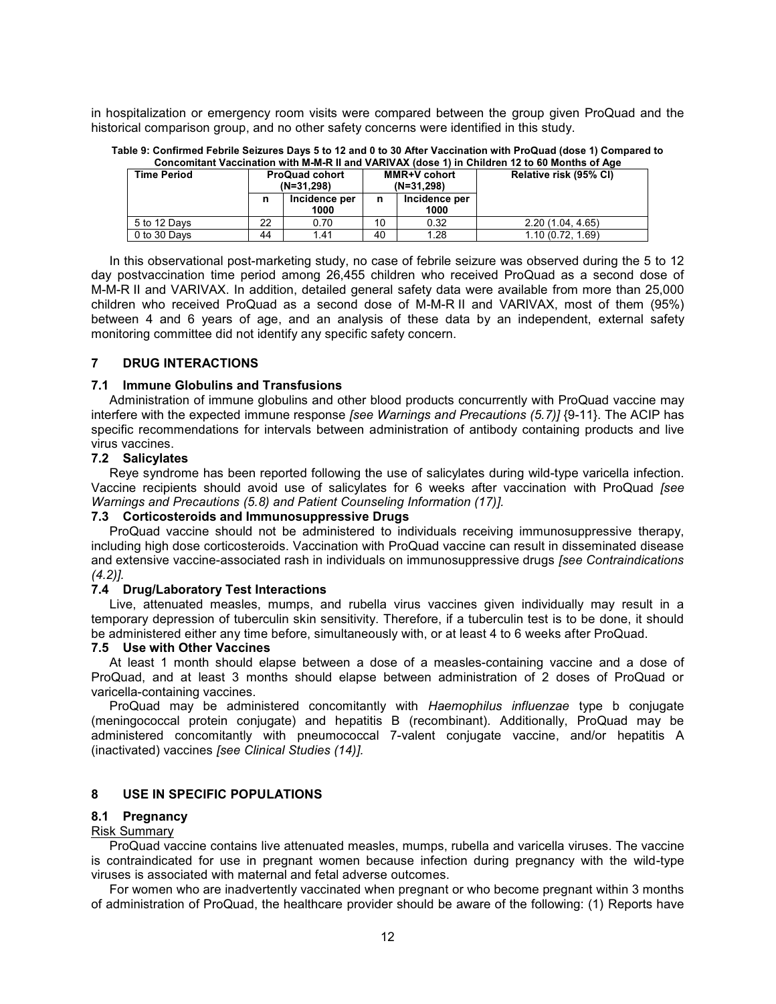in hospitalization or emergency room visits were compared between the group given ProQuad and the historical comparison group, and no other safety concerns were identified in this study.

| Concomitant vaccination with M-M-R II and VARIVAX (dose 1) in Children 12 to 60 Months of Ade |                                       |                       |                                     |      |                  |  |                        |  |
|-----------------------------------------------------------------------------------------------|---------------------------------------|-----------------------|-------------------------------------|------|------------------|--|------------------------|--|
| <b>Time Period</b>                                                                            | <b>ProQuad cohort</b><br>$(N=31.298)$ |                       | <b>MMR+V</b> cohort<br>$(N=31.298)$ |      |                  |  | Relative risk (95% CI) |  |
|                                                                                               | n                                     | Incidence per<br>1000 | Incidence per<br>n<br>1000          |      |                  |  |                        |  |
| 5 to 12 Davs                                                                                  | 22                                    | 0.70                  | 10                                  | 0.32 | 2.20(1.04, 4.65) |  |                        |  |
| 0 to 30 Days                                                                                  | 44                                    | 1.41                  | 40                                  | 1.28 | 1.10(0.72, 1.69) |  |                        |  |

**Table 9: Confirmed Febrile Seizures Days 5 to 12 and 0 to 30 After Vaccination with ProQuad (dose 1) Compared to Concomitant Vaccination with M-M-R II and VARIVAX (dose 1) in Children 12 to 60 Months of Age**

In this observational post-marketing study, no case of febrile seizure was observed during the 5 to 12 day postvaccination time period among 26,455 children who received ProQuad as a second dose of M-M-R II and VARIVAX. In addition, detailed general safety data were available from more than 25,000 children who received ProQuad as a second dose of M-M-R II and VARIVAX, most of them (95%) between 4 and 6 years of age, and an analysis of these data by an independent, external safety monitoring committee did not identify any specific safety concern.

## **7 DRUG INTERACTIONS**

## **7.1 Immune Globulins and Transfusions**

Administration of immune globulins and other blood products concurrently with ProQuad vaccine may interfere with the expected immune response *[see Warnings and Precautions (5.7)]* {9-11}. The ACIP has specific recommendations for intervals between administration of antibody containing products and live virus vaccines.

## **7.2 Salicylates**

Reye syndrome has been reported following the use of salicylates during wild-type varicella infection. Vaccine recipients should avoid use of salicylates for 6 weeks after vaccination with ProQuad *[see Warnings and Precautions (5.8) and Patient Counseling Information (17)].*

## **7.3 Corticosteroids and Immunosuppressive Drugs**

ProQuad vaccine should not be administered to individuals receiving immunosuppressive therapy, including high dose corticosteroids. Vaccination with ProQuad vaccine can result in disseminated disease and extensive vaccine-associated rash in individuals on immunosuppressive drugs *[see Contraindications (4.2)].*

## **7.4 Drug/Laboratory Test Interactions**

Live, attenuated measles, mumps, and rubella virus vaccines given individually may result in a temporary depression of tuberculin skin sensitivity. Therefore, if a tuberculin test is to be done, it should be administered either any time before, simultaneously with, or at least 4 to 6 weeks after ProQuad.

## **7.5 Use with Other Vaccines**

At least 1 month should elapse between a dose of a measles-containing vaccine and a dose of ProQuad, and at least 3 months should elapse between administration of 2 doses of ProQuad or varicella-containing vaccines.

ProQuad may be administered concomitantly with *Haemophilus influenzae* type b conjugate (meningococcal protein conjugate) and hepatitis B (recombinant). Additionally, ProQuad may be administered concomitantly with pneumococcal 7-valent conjugate vaccine, and/or hepatitis A (inactivated) vaccines *[see Clinical Studies (14)].*

# **8 USE IN SPECIFIC POPULATIONS**

## **8.1 Pregnancy**

## Risk Summary

ProQuad vaccine contains live attenuated measles, mumps, rubella and varicella viruses. The vaccine is contraindicated for use in pregnant women because infection during pregnancy with the wild-type viruses is associated with maternal and fetal adverse outcomes.

For women who are inadvertently vaccinated when pregnant or who become pregnant within 3 months of administration of ProQuad, the healthcare provider should be aware of the following: (1) Reports have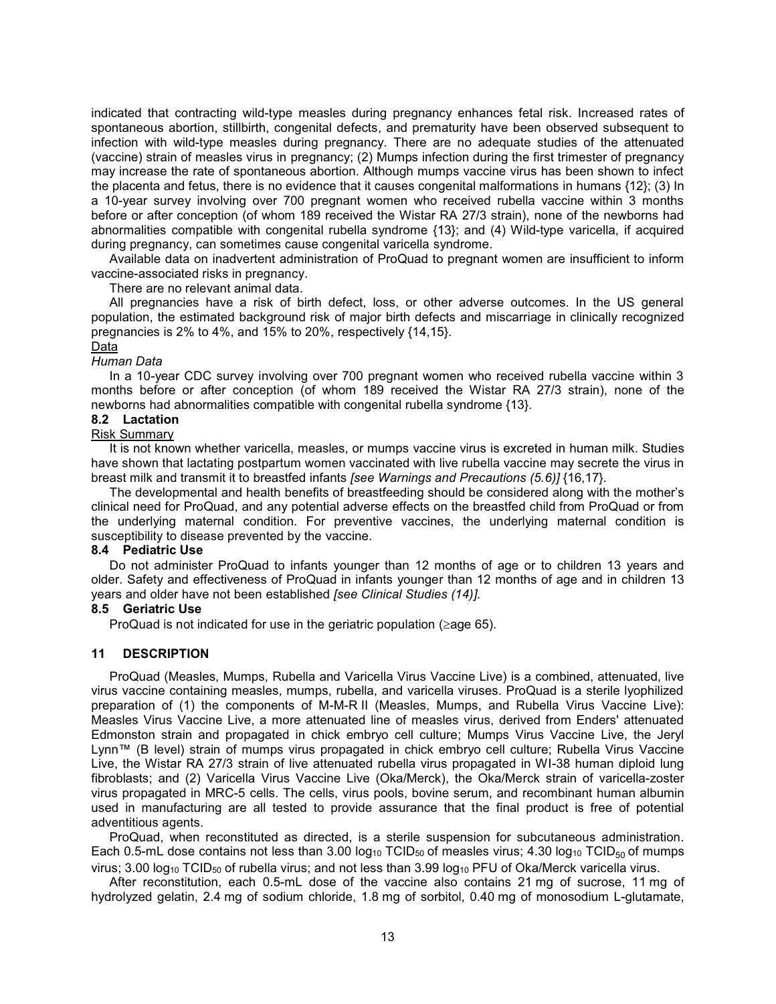indicated that contracting wild-type measles during pregnancy enhances fetal risk. Increased rates of spontaneous abortion, stillbirth, congenital defects, and prematurity have been observed subsequent to infection with wild-type measles during pregnancy. There are no adequate studies of the attenuated (vaccine) strain of measles virus in pregnancy; (2) Mumps infection during the first trimester of pregnancy may increase the rate of spontaneous abortion. Although mumps vaccine virus has been shown to infect the placenta and fetus, there is no evidence that it causes congenital malformations in humans {12}; (3) In a 10-year survey involving over 700 pregnant women who received rubella vaccine within 3 months before or after conception (of whom 189 received the Wistar RA 27/3 strain), none of the newborns had abnormalities compatible with congenital rubella syndrome {13}; and (4) Wild-type varicella, if acquired during pregnancy, can sometimes cause congenital varicella syndrome.

Available data on inadvertent administration of ProQuad to pregnant women are insufficient to inform vaccine-associated risks in pregnancy.

There are no relevant animal data.

All pregnancies have a risk of birth defect, loss, or other adverse outcomes. In the US general population, the estimated background risk of major birth defects and miscarriage in clinically recognized pregnancies is 2% to 4%, and 15% to 20%, respectively {14,15}.

#### Data

#### *Human Data*

In a 10-year CDC survey involving over 700 pregnant women who received rubella vaccine within 3 months before or after conception (of whom 189 received the Wistar RA 27/3 strain), none of the newborns had abnormalities compatible with congenital rubella syndrome {13}.

# **8.2 Lactation**

# Risk Summary

It is not known whether varicella, measles, or mumps vaccine virus is excreted in human milk. Studies have shown that lactating postpartum women vaccinated with live rubella vaccine may secrete the virus in breast milk and transmit it to breastfed infants *[see Warnings and Precautions (5.6)]* {16,17}.

The developmental and health benefits of breastfeeding should be considered along with the mother's clinical need for ProQuad, and any potential adverse effects on the breastfed child from ProQuad or from the underlying maternal condition. For preventive vaccines, the underlying maternal condition is susceptibility to disease prevented by the vaccine.

## **8.4 Pediatric Use**

Do not administer ProQuad to infants younger than 12 months of age or to children 13 years and older. Safety and effectiveness of ProQuad in infants younger than 12 months of age and in children 13 years and older have not been established *[see Clinical Studies (14)].*

## **8.5 Geriatric Use**

ProQuad is not indicated for use in the geriatric population ( $\geq$ age 65).

## **11 DESCRIPTION**

ProQuad (Measles, Mumps, Rubella and Varicella Virus Vaccine Live) is a combined, attenuated, live virus vaccine containing measles, mumps, rubella, and varicella viruses. ProQuad is a sterile lyophilized preparation of (1) the components of M-M-R II (Measles, Mumps, and Rubella Virus Vaccine Live): Measles Virus Vaccine Live, a more attenuated line of measles virus, derived from Enders' attenuated Edmonston strain and propagated in chick embryo cell culture; Mumps Virus Vaccine Live, the Jeryl Lynn™ (B level) strain of mumps virus propagated in chick embryo cell culture; Rubella Virus Vaccine Live, the Wistar RA 27/3 strain of live attenuated rubella virus propagated in WI-38 human diploid lung fibroblasts; and (2) Varicella Virus Vaccine Live (Oka/Merck), the Oka/Merck strain of varicella-zoster virus propagated in MRC-5 cells. The cells, virus pools, bovine serum, and recombinant human albumin used in manufacturing are all tested to provide assurance that the final product is free of potential adventitious agents.

ProQuad, when reconstituted as directed, is a sterile suspension for subcutaneous administration. Each 0.5-mL dose contains not less than 3.00 log<sub>10</sub> TCID<sub>50</sub> of measles virus; 4.30 log<sub>10</sub> TCID<sub>50</sub> of mumps virus; 3.00 log<sub>10</sub> TCID<sub>50</sub> of rubella virus; and not less than 3.99 log<sub>10</sub> PFU of Oka/Merck varicella virus.

After reconstitution, each 0.5-mL dose of the vaccine also contains 21 mg of sucrose, 11 mg of hydrolyzed gelatin, 2.4 mg of sodium chloride, 1.8 mg of sorbitol, 0.40 mg of monosodium L-glutamate,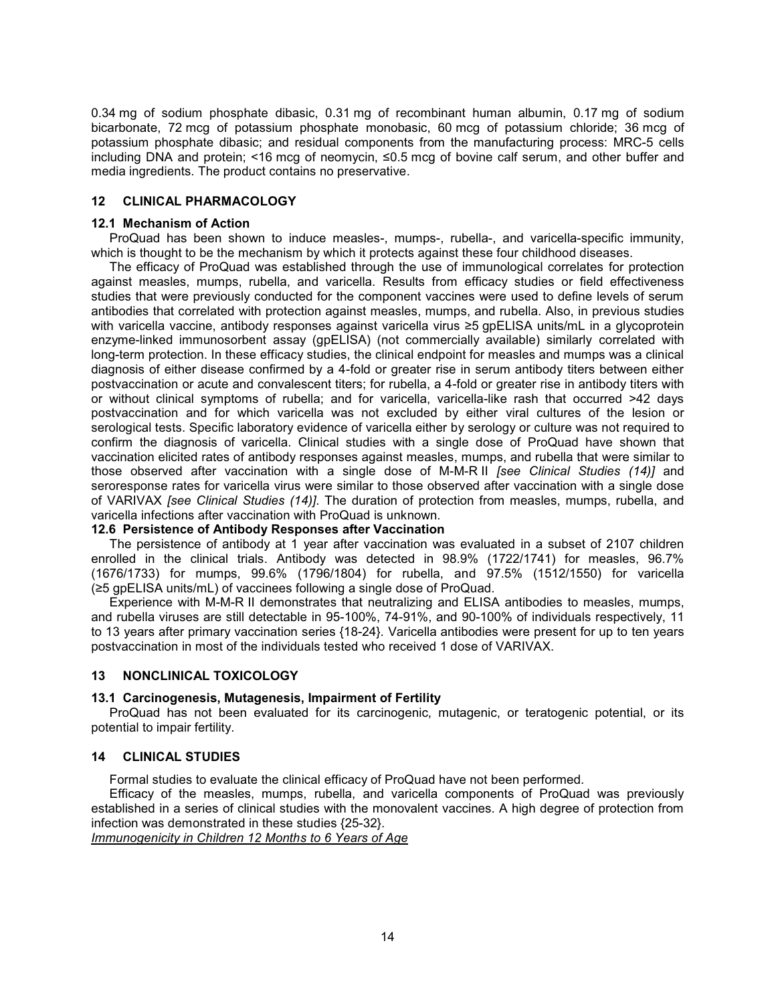0.34 mg of sodium phosphate dibasic, 0.31 mg of recombinant human albumin, 0.17 mg of sodium bicarbonate, 72 mcg of potassium phosphate monobasic, 60 mcg of potassium chloride; 36 mcg of potassium phosphate dibasic; and residual components from the manufacturing process: MRC-5 cells including DNA and protein; <16 mcg of neomycin, ≤0.5 mcg of bovine calf serum, and other buffer and media ingredients. The product contains no preservative.

## **12 CLINICAL PHARMACOLOGY**

## **12.1 Mechanism of Action**

ProQuad has been shown to induce measles-, mumps-, rubella-, and varicella-specific immunity, which is thought to be the mechanism by which it protects against these four childhood diseases.

The efficacy of ProQuad was established through the use of immunological correlates for protection against measles, mumps, rubella, and varicella. Results from efficacy studies or field effectiveness studies that were previously conducted for the component vaccines were used to define levels of serum antibodies that correlated with protection against measles, mumps, and rubella. Also, in previous studies with varicella vaccine, antibody responses against varicella virus ≥5 gpELISA units/mL in a glycoprotein enzyme-linked immunosorbent assay (gpELISA) (not commercially available) similarly correlated with long-term protection. In these efficacy studies, the clinical endpoint for measles and mumps was a clinical diagnosis of either disease confirmed by a 4-fold or greater rise in serum antibody titers between either postvaccination or acute and convalescent titers; for rubella, a 4-fold or greater rise in antibody titers with or without clinical symptoms of rubella; and for varicella, varicella-like rash that occurred >42 days postvaccination and for which varicella was not excluded by either viral cultures of the lesion or serological tests. Specific laboratory evidence of varicella either by serology or culture was not required to confirm the diagnosis of varicella. Clinical studies with a single dose of ProQuad have shown that vaccination elicited rates of antibody responses against measles, mumps, and rubella that were similar to those observed after vaccination with a single dose of M-M-R II *[see Clinical Studies (14)]* and seroresponse rates for varicella virus were similar to those observed after vaccination with a single dose of VARIVAX *[see Clinical Studies (14)]*. The duration of protection from measles, mumps, rubella, and varicella infections after vaccination with ProQuad is unknown.

# **12.6 Persistence of Antibody Responses after Vaccination**

The persistence of antibody at 1 year after vaccination was evaluated in a subset of 2107 children enrolled in the clinical trials. Antibody was detected in 98.9% (1722/1741) for measles, 96.7% (1676/1733) for mumps, 99.6% (1796/1804) for rubella, and 97.5% (1512/1550) for varicella (≥5 gpELISA units/mL) of vaccinees following a single dose of ProQuad.

Experience with M-M-R II demonstrates that neutralizing and ELISA antibodies to measles, mumps, and rubella viruses are still detectable in 95-100%, 74-91%, and 90-100% of individuals respectively, 11 to 13 years after primary vaccination series {18-24}. Varicella antibodies were present for up to ten years postvaccination in most of the individuals tested who received 1 dose of VARIVAX.

## **13 NONCLINICAL TOXICOLOGY**

## **13.1 Carcinogenesis, Mutagenesis, Impairment of Fertility**

ProQuad has not been evaluated for its carcinogenic, mutagenic, or teratogenic potential, or its potential to impair fertility.

## **14 CLINICAL STUDIES**

Formal studies to evaluate the clinical efficacy of ProQuad have not been performed.

Efficacy of the measles, mumps, rubella, and varicella components of ProQuad was previously established in a series of clinical studies with the monovalent vaccines. A high degree of protection from infection was demonstrated in these studies {25-32}.

*Immunogenicity in Children 12 Months to 6 Years of Age*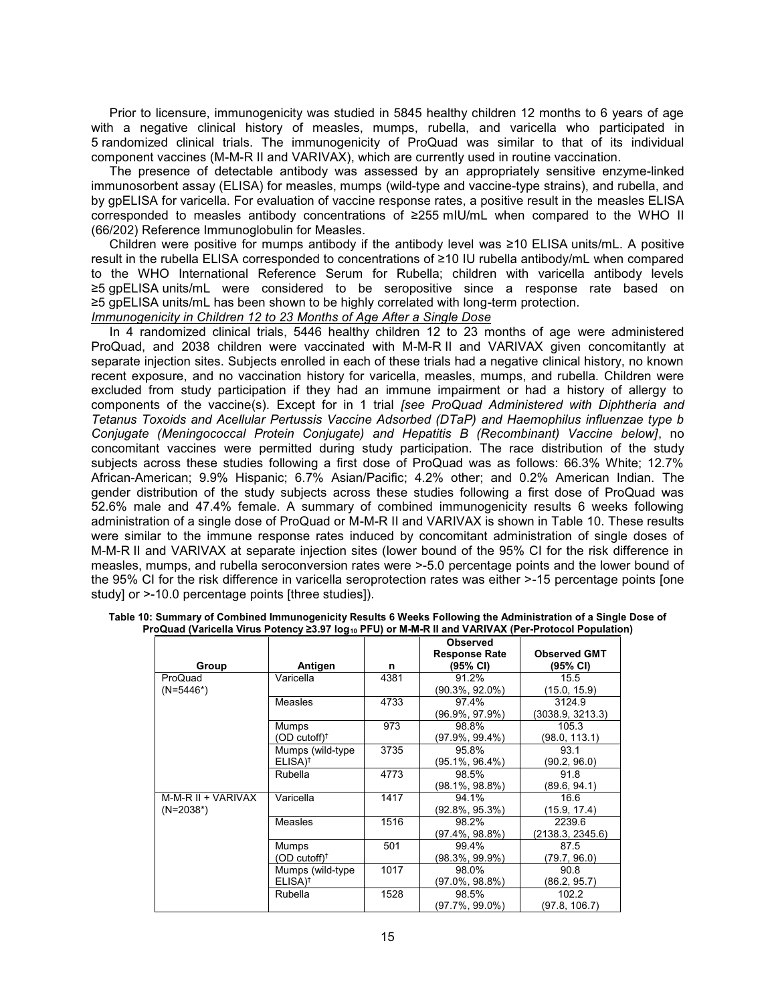Prior to licensure, immunogenicity was studied in 5845 healthy children 12 months to 6 years of age with a negative clinical history of measles, mumps, rubella, and varicella who participated in 5 randomized clinical trials. The immunogenicity of ProQuad was similar to that of its individual component vaccines (M-M-R II and VARIVAX), which are currently used in routine vaccination.

The presence of detectable antibody was assessed by an appropriately sensitive enzyme-linked immunosorbent assay (ELISA) for measles, mumps (wild-type and vaccine-type strains), and rubella, and by gpELISA for varicella. For evaluation of vaccine response rates, a positive result in the measles ELISA corresponded to measles antibody concentrations of ≥255 mIU/mL when compared to the WHO II (66/202) Reference Immunoglobulin for Measles.

Children were positive for mumps antibody if the antibody level was ≥10 ELISA units/mL. A positive result in the rubella ELISA corresponded to concentrations of ≥10 IU rubella antibody/mL when compared to the WHO International Reference Serum for Rubella; children with varicella antibody levels ≥5 gpELISA units/mL were considered to be seropositive since a response rate based on ≥5 gpELISA units/mL has been shown to be highly correlated with long-term protection.

*Immunogenicity in Children 12 to 23 Months of Age After a Single Dose*

In 4 randomized clinical trials, 5446 healthy children 12 to 23 months of age were administered ProQuad, and 2038 children were vaccinated with M-M-R II and VARIVAX given concomitantly at separate injection sites. Subjects enrolled in each of these trials had a negative clinical history, no known recent exposure, and no vaccination history for varicella, measles, mumps, and rubella. Children were excluded from study participation if they had an immune impairment or had a history of allergy to components of the vaccine(s). Except for in 1 trial *[see ProQuad Administered with Diphtheria and Tetanus Toxoids and Acellular Pertussis Vaccine Adsorbed (DTaP) and Haemophilus influenzae type b Conjugate (Meningococcal Protein Conjugate) and Hepatitis B (Recombinant) Vaccine below]*, no concomitant vaccines were permitted during study participation. The race distribution of the study subjects across these studies following a first dose of ProQuad was as follows: 66.3% White; 12.7% African-American; 9.9% Hispanic; 6.7% Asian/Pacific; 4.2% other; and 0.2% American Indian. The gender distribution of the study subjects across these studies following a first dose of ProQuad was 52.6% male and 47.4% female. A summary of combined immunogenicity results 6 weeks following administration of a single dose of ProQuad or M-M-R II and VARIVAX is shown in Table 10. These results were similar to the immune response rates induced by concomitant administration of single doses of M-M-R II and VARIVAX at separate injection sites (lower bound of the 95% CI for the risk difference in measles, mumps, and rubella seroconversion rates were >-5.0 percentage points and the lower bound of the 95% CI for the risk difference in varicella seroprotection rates was either >-15 percentage points [one study] or  $>10.0$  percentage points [three studies]).

|                    |                            |      | <b>Observed</b>      |                     |
|--------------------|----------------------------|------|----------------------|---------------------|
|                    |                            |      | <b>Response Rate</b> | <b>Observed GMT</b> |
| Group              | Antigen                    | n    | (95% CI)             | (95% CI)            |
| ProQuad            | Varicella                  | 4381 | 91.2%                | 15.5                |
| $(N=5446*)$        |                            |      | (90.3%, 92.0%)       | (15.0, 15.9)        |
|                    | Measles                    | 4733 | 97.4%                | 3124.9              |
|                    |                            |      | (96.9%, 97.9%)       | (3038.9, 3213.3)    |
|                    | Mumps                      | 973  | 98.8%                | 105.3               |
|                    | $(OD \; cutoff)^{\dagger}$ |      | (97.9%, 99.4%)       | (98.0, 113.1)       |
|                    | Mumps (wild-type)          | 3735 | 95.8%                | 93.1                |
|                    | $ELISA)^{\dagger}$         |      | (95.1%, 96.4%)       | (90.2, 96.0)        |
|                    | Rubella                    | 4773 | 98.5%                | 91.8                |
|                    |                            |      | $(98.1\%, 98.8\%)$   | (89.6, 94.1)        |
| M-M-R II + VARIVAX | Varicella                  | 1417 | 94.1%                | 16.6                |
| $(N=2038^*)$       |                            |      | (92.8%, 95.3%)       | (15.9, 17.4)        |
|                    | Measles                    | 1516 | 98.2%                | 2239.6              |
|                    |                            |      | (97.4%, 98.8%)       | (2138.3, 2345.6)    |
|                    | Mumps                      | 501  | 99.4%                | 87.5                |
|                    | (OD cutoff) <sup>†</sup>   |      | (98.3%, 99.9%)       | (79.7, 96.0)        |
|                    | Mumps (wild-type)          | 1017 | 98.0%                | 90.8                |
|                    | $ELISA)^{\dagger}$         |      | $(97.0\%, 98.8\%)$   | (86.2, 95.7)        |
|                    | Rubella                    | 1528 | 98.5%                | 102.2               |
|                    |                            |      | (97.7%, 99.0%)       | (97.8, 106.7)       |

Table 10: Summary of Combined Immunogenicity Results 6 Weeks Following the Administration of a Single Dose of<br>ProQuad (Varicella Virus Potency ≥3.97 log<sub>10</sub> PFU) or M-M-R II and VARIVAX (Per-Protocol Population)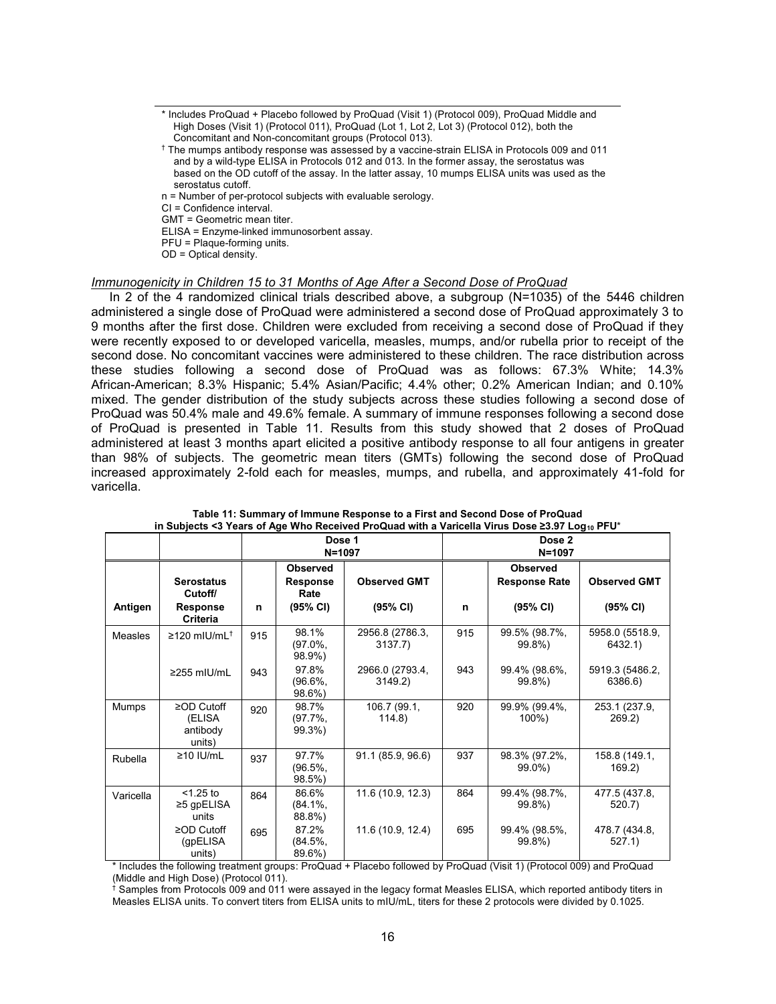- \* Includes ProQuad + Placebo followed by ProQuad (Visit 1) (Protocol 009), ProQuad Middle and High Doses (Visit 1) (Protocol 011), ProQuad (Lot 1, Lot 2, Lot 3) (Protocol 012), both the Concomitant and Non-concomitant groups (Protocol 013).
- † The mumps antibody response was assessed by a vaccine-strain ELISA in Protocols 009 and 011 and by a wild-type ELISA in Protocols 012 and 013. In the former assay, the serostatus was based on the OD cutoff of the assay. In the latter assay, 10 mumps ELISA units was used as the serostatus cutoff.
- n = Number of per-protocol subjects with evaluable serology.

CI = Confidence interval.

GMT = Geometric mean titer.

ELISA = Enzyme-linked immunosorbent assay.

PFU = Plaque-forming units.

OD = Optical density.

#### *Immunogenicity in Children 15 to 31 Months of Age After a Second Dose of ProQuad*

In 2 of the 4 randomized clinical trials described above, a subgroup (N=1035) of the 5446 children administered a single dose of ProQuad were administered a second dose of ProQuad approximately 3 to 9 months after the first dose. Children were excluded from receiving a second dose of ProQuad if they were recently exposed to or developed varicella, measles, mumps, and/or rubella prior to receipt of the second dose. No concomitant vaccines were administered to these children. The race distribution across these studies following a second dose of ProQuad was as follows: 67.3% White; 14.3% African-American; 8.3% Hispanic; 5.4% Asian/Pacific; 4.4% other; 0.2% American Indian; and 0.10% mixed. The gender distribution of the study subjects across these studies following a second dose of ProQuad was 50.4% male and 49.6% female. A summary of immune responses following a second dose of ProQuad is presented in Table 11. Results from this study showed that 2 doses of ProQuad administered at least 3 months apart elicited a positive antibody response to all four antigens in greater than 98% of subjects. The geometric mean titers (GMTs) following the second dose of ProQuad increased approximately 2-fold each for measles, mumps, and rubella, and approximately 41-fold for varicella.

|              | $\sim$ 0.000 0.000 0.000 0.000 0.000 0.000 0.000 0.000 0.000 0.000 0.000 0.000 0.000 0.000 0.000 0.000 0.000 0.000 0.000 0.000 0.000 0.000 0.000 0.000 0.000 0.000 0.000 0.000 0.000 0.000 0.000 0.000 0.000 0.000 0.000 0.000 |     |                               |                            |     |                            |                            |  |  |  |
|--------------|--------------------------------------------------------------------------------------------------------------------------------------------------------------------------------------------------------------------------------|-----|-------------------------------|----------------------------|-----|----------------------------|----------------------------|--|--|--|
|              |                                                                                                                                                                                                                                |     | Dose 1<br>$N = 1097$          |                            |     | Dose 2                     |                            |  |  |  |
|              |                                                                                                                                                                                                                                |     |                               |                            |     | $N = 1097$                 |                            |  |  |  |
|              |                                                                                                                                                                                                                                |     | <b>Observed</b>               |                            |     | <b>Observed</b>            |                            |  |  |  |
|              | <b>Serostatus</b><br>Cutoff/                                                                                                                                                                                                   |     | <b>Response</b><br>Rate       | <b>Observed GMT</b>        |     | <b>Response Rate</b>       | <b>Observed GMT</b>        |  |  |  |
| Antigen      | <b>Response</b><br><b>Criteria</b>                                                                                                                                                                                             | n   | (95% CI)                      | (95% CI)                   | n   | (95% CI)                   | (95% CI)                   |  |  |  |
| Measles      | $\geq$ 120 mIU/mL <sup>+</sup>                                                                                                                                                                                                 | 915 | 98.1%<br>$(97.0\%$<br>98.9%)  | 2956.8 (2786.3,<br>3137.7) | 915 | 99.5% (98.7%,<br>99.8%)    | 5958.0 (5518.9,<br>6432.1) |  |  |  |
|              | $\geq$ 255 mIU/mL                                                                                                                                                                                                              | 943 | 97.8%<br>$(96.6\%$<br>98.6%)  | 2966.0 (2793.4,<br>3149.2) | 943 | 99.4% (98.6%,<br>99.8%)    | 5919.3 (5486.2,<br>6386.6) |  |  |  |
| <b>Mumps</b> | $\ge$ OD Cutoff<br>(ELISA<br>antibody<br>units)                                                                                                                                                                                | 920 | 98.7%<br>$(97.7\%$<br>99.3%)  | 106.7 (99.1,<br>114.8)     | 920 | 99.9% (99.4%,<br>$100\%$ ) | 253.1 (237.9,<br>269.2     |  |  |  |
| Rubella      | $\geq$ 10 IU/mL                                                                                                                                                                                                                | 937 | 97.7%<br>(96.5%,<br>98.5%)    | 91.1 (85.9, 96.6)          | 937 | 98.3% (97.2%,<br>99.0%)    | 158.8 (149.1,<br>169.2)    |  |  |  |
| Varicella    | $<$ 1.25 to<br>$≥5$ gpELISA<br>units                                                                                                                                                                                           | 864 | 86.6%<br>$(84.1\%,$<br>88.8%) | 11.6 (10.9, 12.3)          | 864 | 99.4% (98.7%,<br>99.8%)    | 477.5 (437.8,<br>520.7     |  |  |  |
|              | $\geq$ OD Cutoff<br>(qpELISA<br>units)                                                                                                                                                                                         | 695 | 87.2%<br>$(84.5\%$<br>89.6%)  | 11.6 (10.9, 12.4)          | 695 | 99.4% (98.5%,<br>99.8%)    | 478.7 (434.8,<br>527.1)    |  |  |  |

**Table 11: Summary of Immune Response to a First and Second Dose of ProQuad in Subjects <3 Years of Age Who Received ProQuad with a Varicella Virus Dose ≥3.97 Log<sup>10</sup> PFU**\*

\* Includes the following treatment groups: ProQuad + Placebo followed by ProQuad (Visit 1) (Protocol 009) and ProQuad (Middle and High Dose) (Protocol 011).

 $\dagger$  Samples from Protocols 009 and 011 were assayed in the legacy format Measles ELISA, which reported antibody titers in Measles ELISA units. To convert titers from ELISA units to mIU/mL, titers for these 2 protocols were divided by 0.1025.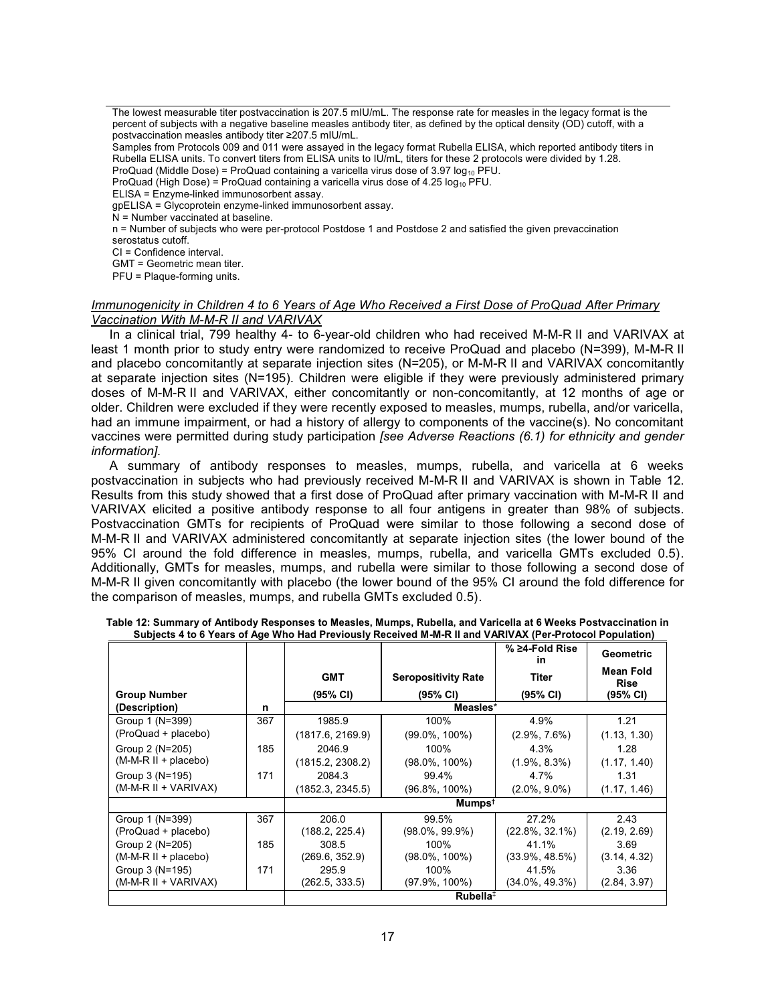The lowest measurable titer postvaccination is 207.5 mIU/mL. The response rate for measles in the legacy format is the percent of subjects with a negative baseline measles antibody titer, as defined by the optical density (OD) cutoff, with a postvaccination measles antibody titer ≥207.5 mIU/mL.

Samples from Protocols 009 and 011 were assayed in the legacy format Rubella ELISA, which reported antibody titers in Rubella ELISA units. To convert titers from ELISA units to IU/mL, titers for these 2 protocols were divided by 1.28. ProQuad (Middle Dose) = ProQuad containing a varicella virus dose of 3.97  $log_{10}$  PFU.

ProQuad (High Dose) = ProQuad containing a varicella virus dose of 4.25  $log_{10}$  PFU.

ELISA = Enzyme-linked immunosorbent assay.

gpELISA = Glycoprotein enzyme-linked immunosorbent assay.

 $N =$  Number vaccinated at baseline.

n = Number of subjects who were per-protocol Postdose 1 and Postdose 2 and satisfied the given prevaccination serostatus cutoff.

CI = Confidence interval.

GMT = Geometric mean titer.

PFU = Plaque-forming units.

## *Immunogenicity in Children 4 to 6 Years of Age Who Received a First Dose of ProQuad After Primary Vaccination With M-M-R II and VARIVAX*

In a clinical trial, 799 healthy 4- to 6-year-old children who had received M-M-R II and VARIVAX at least 1 month prior to study entry were randomized to receive ProQuad and placebo (N=399), M-M-R II and placebo concomitantly at separate injection sites (N=205), or M-M-R II and VARIVAX concomitantly at separate injection sites (N=195). Children were eligible if they were previously administered primary doses of M-M-R II and VARIVAX, either concomitantly or non-concomitantly, at 12 months of age or older. Children were excluded if they were recently exposed to measles, mumps, rubella, and/or varicella, had an immune impairment, or had a history of allergy to components of the vaccine(s). No concomitant vaccines were permitted during study participation *[see Adverse Reactions (6.1) for ethnicity and gender information].*

A summary of antibody responses to measles, mumps, rubella, and varicella at 6 weeks postvaccination in subjects who had previously received M-M-R II and VARIVAX is shown in Table 12. Results from this study showed that a first dose of ProQuad after primary vaccination with M-M-R II and VARIVAX elicited a positive antibody response to all four antigens in greater than 98% of subjects. Postvaccination GMTs for recipients of ProQuad were similar to those following a second dose of M-M-R II and VARIVAX administered concomitantly at separate injection sites (the lower bound of the 95% CI around the fold difference in measles, mumps, rubella, and varicella GMTs excluded 0.5). Additionally, GMTs for measles, mumps, and rubella were similar to those following a second dose of M-M-R II given concomitantly with placebo (the lower bound of the 95% CI around the fold difference for the comparison of measles, mumps, and rubella GMTs excluded 0.5).

|                        |     |                  |                            | % ≥4-Fold Rise<br>in | <b>Geometric</b>                |
|------------------------|-----|------------------|----------------------------|----------------------|---------------------------------|
|                        |     | <b>GMT</b>       | <b>Seropositivity Rate</b> | <b>Titer</b>         | <b>Mean Fold</b><br><b>Rise</b> |
| <b>Group Number</b>    |     | (95% CI)         | (95% CI)                   | $(95% \text{ Cl})$   | $(95% \text{ Cl})$              |
| (Description)          | n   |                  | Measles*                   |                      |                                 |
| Group 1 (N=399)        | 367 | 1985.9           | 100%                       | 4.9%                 | 1.21                            |
| (ProQuad + placebo)    |     | (1817.6, 2169.9) | $(99.0\%, 100\%)$          | $(2.9\%, 7.6\%)$     | (1.13, 1.30)                    |
| Group 2 (N=205)        | 185 | 2046.9           | 100%                       | 4.3%                 | 1.28                            |
| (M-M-R II + placebo)   |     | (1815.2, 2308.2) | $(98.0\%, 100\%)$          | $(1.9\%, 8.3\%)$     | (1.17, 1.40)                    |
| Group 3 (N=195)        | 171 | 2084.3           | 99.4%                      | 4.7%                 | 1.31                            |
| (M-M-R II + VARIVAX)   |     | (1852.3, 2345.5) | $(96.8\%, 100\%)$          | $(2.0\%, 9.0\%)$     | (1.17, 1.46)                    |
|                        |     |                  | Mumps <sup>t</sup>         |                      |                                 |
| Group 1 (N=399)        | 367 | 206.0            | 99.5%                      | 27.2%                | 2.43                            |
| (ProQuad + placebo)    |     | (188.2, 225.4)   | (98.0%, 99.9%)             | $(22.8\%, 32.1\%)$   | (2.19, 2.69)                    |
| Group 2 (N=205)        | 185 | 308.5            | 100%                       | 41.1%                | 3.69                            |
| $(M-M-R II + placebo)$ |     | (269.6, 352.9)   | $(98.0\%, 100\%)$          | $(33.9\%, 48.5\%)$   | (3.14, 4.32)                    |
| Group 3 (N=195)        | 171 | 295.9            | 100%                       | 41.5%                | 3.36                            |
| (M-M-R II + VARIVAX)   |     | (262.5, 333.5)   | $(97.9\%, 100\%)$          | $(34.0\%, 49.3\%)$   | (2.84, 3.97)                    |
|                        |     |                  | Rule                       |                      |                                 |

**Table 12: Summary of Antibody Responses to Measles, Mumps, Rubella, and Varicella at 6 Weeks Postvaccination in Subjects 4 to 6 Years of Age Who Had Previously Received M-M-R II and VARIVAX (Per-Protocol Population)**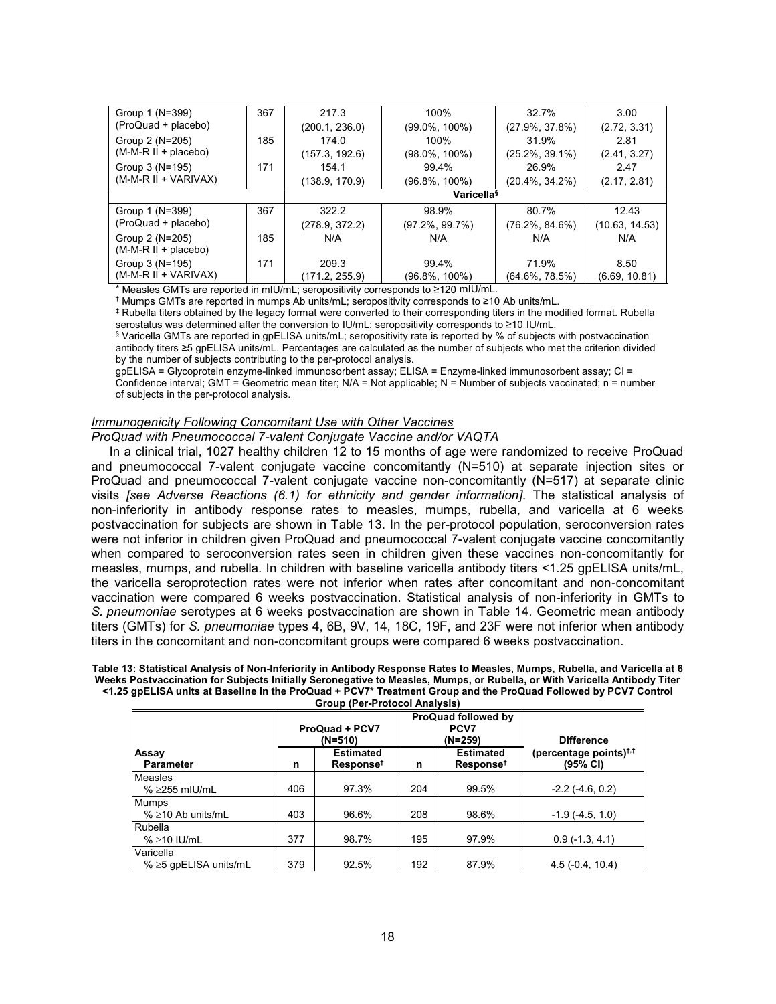| Group 1 (N=399)        | 367 | 217.3                         | 100%              | 32.7%              | 3.00           |  |  |
|------------------------|-----|-------------------------------|-------------------|--------------------|----------------|--|--|
| (ProQuad + placebo)    |     | (200.1, 236.0)                | $(99.0\%, 100\%)$ | $(27.9\%, 37.8\%)$ | (2.72, 3.31)   |  |  |
| Group 2 (N=205)        | 185 | 174.0                         | 100%              | 31.9%              | 2.81           |  |  |
| $(M-M-R II + placebo)$ |     | (157.3, 192.6)                | $(98.0\%, 100\%)$ | $(25.2\%, 39.1\%)$ | (2.41, 3.27)   |  |  |
| Group 3 (N=195)        | 171 | 154.1                         | 99.4%             | 26.9%              | 2.47           |  |  |
| (M-M-R II + VARIVAX)   |     | (138.9, 170.9)                | (96.8%, 100%)     | $(20.4\%, 34.2\%)$ | (2.17, 2.81)   |  |  |
|                        |     | <b>Varicella</b> <sup>§</sup> |                   |                    |                |  |  |
| Group 1 (N=399)        | 367 | 322.2                         | 98.9%             | 80.7%              | 12.43          |  |  |
| (ProQuad + placebo)    |     | (278.9, 372.2)                | (97.2%, 99.7%)    | $(76.2\%, 84.6\%)$ | (10.63, 14.53) |  |  |
| Group 2 (N=205)        | 185 | N/A                           | N/A               | N/A                | N/A            |  |  |
| $(M-M-R II + placebo)$ |     |                               |                   |                    |                |  |  |
| Group 3 (N=195)        | 171 | 209.3                         | 99.4%             | 71.9%              | 8.50           |  |  |
| $(M-M-R II + VARIVAX)$ |     | (171.2, 255.9)                | (96.8%, 100%)     | $(64.6\%, 78.5\%)$ | (6.69, 10.81)  |  |  |

\* Measles GMTs are reported in mIU/mL; seropositivity corresponds to ≥120 mIU/mL.

† Mumps GMTs are reported in mumps Ab units/mL; seropositivity corresponds to ≥10 Ab units/mL.

‡ Rubella titers obtained by the legacy format were converted to their corresponding titers in the modified format. Rubella serostatus was determined after the conversion to IU/mL: seropositivity corresponds to ≥10 IU/mL.

§ Varicella GMTs are reported in gpELISA units/mL; seropositivity rate is reported by % of subjects with postvaccination antibody titers ≥5 gpELISA units/mL. Percentages are calculated as the number of subjects who met the criterion divided by the number of subjects contributing to the per-protocol analysis.

gpELISA = Glycoprotein enzyme-linked immunosorbent assay; ELISA = Enzyme-linked immunosorbent assay; CI = Confidence interval; GMT = Geometric mean titer; N/A = Not applicable; N = Number of subjects vaccinated; n = number of subjects in the per-protocol analysis.

## *Immunogenicity Following Concomitant Use with Other Vaccines*

*ProQuad with Pneumococcal 7-valent Conjugate Vaccine and/or VAQTA*

In a clinical trial, 1027 healthy children 12 to 15 months of age were randomized to receive ProQuad and pneumococcal 7-valent conjugate vaccine concomitantly (N=510) at separate injection sites or ProQuad and pneumococcal 7-valent conjugate vaccine non-concomitantly (N=517) at separate clinic visits *[see Adverse Reactions (6.1) for ethnicity and gender information].* The statistical analysis of non-inferiority in antibody response rates to measles, mumps, rubella, and varicella at 6 weeks postvaccination for subjects are shown in Table 13. In the per-protocol population, seroconversion rates were not inferior in children given ProQuad and pneumococcal 7-valent conjugate vaccine concomitantly when compared to seroconversion rates seen in children given these vaccines non-concomitantly for measles, mumps, and rubella. In children with baseline varicella antibody titers <1.25 gpELISA units/mL, the varicella seroprotection rates were not inferior when rates after concomitant and non-concomitant vaccination were compared 6 weeks postvaccination. Statistical analysis of non-inferiority in GMTs to *S. pneumoniae* serotypes at 6 weeks postvaccination are shown in Table 14. Geometric mean antibody titers (GMTs) for *S. pneumoniae* types 4, 6B, 9V, 14, 18C, 19F, and 23F were not inferior when antibody titers in the concomitant and non-concomitant groups were compared 6 weeks postvaccination.

**Table 13: Statistical Analysis of Non-Inferiority in Antibody Response Rates to Measles, Mumps, Rubella, and Varicella at 6 Weeks Postvaccination for Subjects Initially Seronegative to Measles, Mumps, or Rubella, or With Varicella Antibody Titer <1.25 gpELISA units at Baseline in the ProQuad + PCV7\* Treatment Group and the ProQuad Followed by PCV7 Control Group (Per-Protocol Analysis)**

**ProQuad + PCV7 (N=510) ProQuad followed by PCV7**<br>**(N=259) (N=259) Difference Assay** Parameter **n Estimated Response† n Estimated Response† (percentage points)†,‡ (95% CI)** Measles %  $\geq$ 255 mIU/mL  $\geq$  406 97.3% 204 99.5% -2.2 (-4.6, 0.2) Mumps %  $\geq$ 10 Ab units/mL 403 403 96.6% 208 98.6% -1.9 (-4.5, 1.0) **Rubella** % ≥10 IU/mL  $\vert$  377  $\vert$  98.7%  $\vert$  195  $\vert$  97.9%  $\vert$  0.9 (-1.3, 4.1) Varicella %  $\ge$ 5 gpELISA units/mL 379 92.5% 192 87.9% 4.5 (-0.4, 10.4)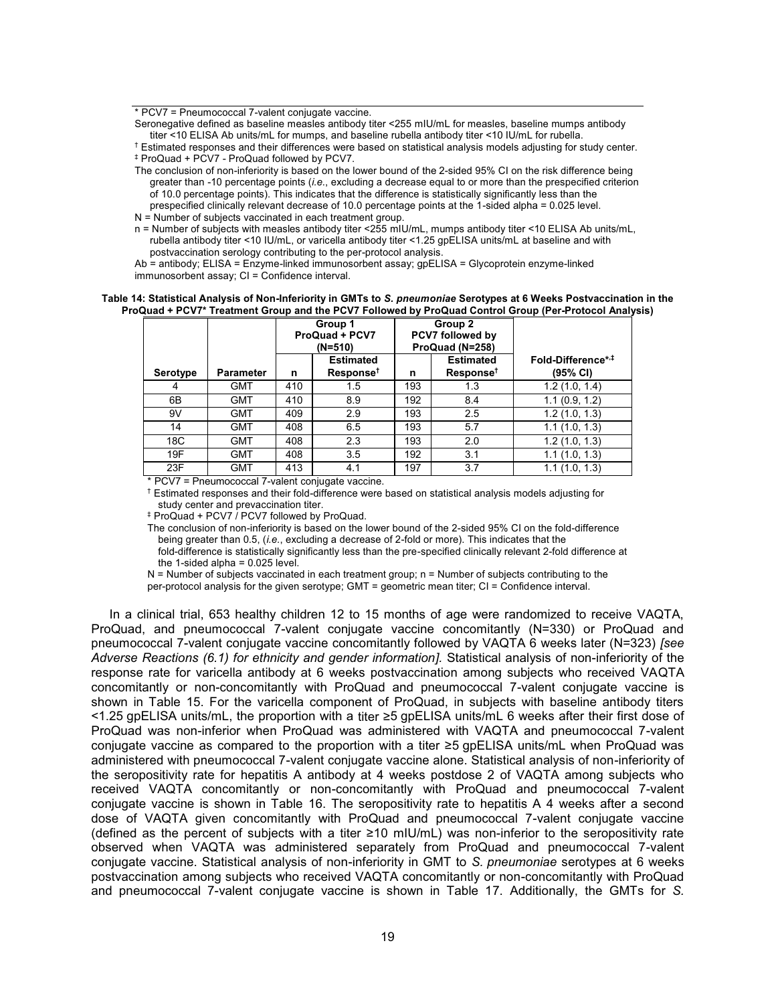\* PCV7 = Pneumococcal 7-valent conjugate vaccine.

Seronegative defined as baseline measles antibody titer <255 mIU/mL for measles, baseline mumps antibody titer <10 ELISA Ab units/mL for mumps, and baseline rubella antibody titer <10 IU/mL for rubella.

† Estimated responses and their differences were based on statistical analysis models adjusting for study center. ‡ ProQuad + PCV7 - ProQuad followed by PCV7.

The conclusion of non-inferiority is based on the lower bound of the 2-sided 95% CI on the risk difference being greater than -10 percentage points (*i.e.*, excluding a decrease equal to or more than the prespecified criterion of 10.0 percentage points). This indicates that the difference is statistically significantly less than the prespecified clinically relevant decrease of 10.0 percentage points at the 1-sided alpha = 0.025 level.

N = Number of subjects vaccinated in each treatment group.

n = Number of subjects with measles antibody titer <255 mIU/mL, mumps antibody titer <10 ELISA Ab units/mL, rubella antibody titer <10 IU/mL, or varicella antibody titer <1.25 gpELISA units/mL at baseline and with postvaccination serology contributing to the per-protocol analysis.

Ab = antibody; ELISA = Enzyme-linked immunosorbent assay; gpELISA = Glycoprotein enzyme-linked immunosorbent assay; CI = Confidence interval.

#### **Table 14: Statistical Analysis of Non-Inferiority in GMTs to** *S. pneumoniae* **Serotypes at 6 Weeks Postvaccination in the ProQuad + PCV7\* Treatment Group and the PCV7 Followed by ProQuad Control Group (Per-Protocol Analysis)**

|                 |                  |     | Group 1<br><b>ProQuad + PCV7</b><br>(N=510) | Group 2<br>PCV7 followed by<br>ProQuad (N=258) |                                           |                                |
|-----------------|------------------|-----|---------------------------------------------|------------------------------------------------|-------------------------------------------|--------------------------------|
| <b>Serotype</b> | <b>Parameter</b> | n   | <b>Estimated</b><br>Response <sup>†</sup>   | n                                              | <b>Estimated</b><br>Response <sup>†</sup> | Fold-Difference*,#<br>(95% CI) |
|                 | GMT              | 410 | 1.5                                         | 193                                            | 1.3                                       | 1.2(1.0, 1.4)                  |
| 6B              | GMT              | 410 | 8.9                                         | 192                                            | 8.4                                       | 1.1(0.9, 1.2)                  |
| 9V              | GMT              | 409 | 2.9                                         | 193                                            | 2.5                                       | 1.2(1.0, 1.3)                  |
| 14              | GMT              | 408 | 6.5                                         | 193                                            | 5.7                                       | 1.1(1.0, 1.3)                  |
| 18C             | GMT              | 408 | 2.3                                         | 193                                            | 2.0                                       | 1.2(1.0, 1.3)                  |
| 19F             | GMT              | 408 | 3.5                                         | 192                                            | 3.1                                       | 1.1(1.0, 1.3)                  |
| 23F             | GMT              | 413 | 4.1                                         | 197                                            | 3.7                                       | 1.1(1.0, 1.3)                  |

\* PCV7 = Pneumococcal 7-valent conjugate vaccine.

† Estimated responses and their fold-difference were based on statistical analysis models adjusting for study center and prevaccination titer.

‡ ProQuad + PCV7 / PCV7 followed by ProQuad.

The conclusion of non-inferiority is based on the lower bound of the 2-sided 95% CI on the fold-difference being greater than 0.5, (*i.e.*, excluding a decrease of 2-fold or more). This indicates that the fold-difference is statistically significantly less than the pre-specified clinically relevant 2-fold difference at the 1-sided alpha =  $0.025$  level.

N = Number of subjects vaccinated in each treatment group; n = Number of subjects contributing to the per-protocol analysis for the given serotype; GMT = geometric mean titer; CI = Confidence interval.

In a clinical trial, 653 healthy children 12 to 15 months of age were randomized to receive VAQTA, ProQuad, and pneumococcal 7-valent conjugate vaccine concomitantly (N=330) or ProQuad and pneumococcal 7-valent conjugate vaccine concomitantly followed by VAQTA 6 weeks later (N=323) *[see Adverse Reactions (6.1) for ethnicity and gender information].* Statistical analysis of non-inferiority of the response rate for varicella antibody at 6 weeks postvaccination among subjects who received VAQTA concomitantly or non-concomitantly with ProQuad and pneumococcal 7-valent conjugate vaccine is shown in Table 15. For the varicella component of ProQuad, in subjects with baseline antibody titers <1.25 gpELISA units/mL, the proportion with a titer ≥5 gpELISA units/mL 6 weeks after their first dose of ProQuad was non-inferior when ProQuad was administered with VAQTA and pneumococcal 7-valent conjugate vaccine as compared to the proportion with a titer ≥5 gpELISA units/mL when ProQuad was administered with pneumococcal 7-valent conjugate vaccine alone. Statistical analysis of non-inferiority of the seropositivity rate for hepatitis A antibody at 4 weeks postdose 2 of VAQTA among subjects who received VAQTA concomitantly or non-concomitantly with ProQuad and pneumococcal 7-valent conjugate vaccine is shown in Table 16. The seropositivity rate to hepatitis A 4 weeks after a second dose of VAQTA given concomitantly with ProQuad and pneumococcal 7-valent conjugate vaccine (defined as the percent of subjects with a titer ≥10 mIU/mL) was non-inferior to the seropositivity rate observed when VAQTA was administered separately from ProQuad and pneumococcal 7-valent conjugate vaccine. Statistical analysis of non-inferiority in GMT to *S. pneumoniae* serotypes at 6 weeks postvaccination among subjects who received VAQTA concomitantly or non-concomitantly with ProQuad and pneumococcal 7-valent conjugate vaccine is shown in Table 17. Additionally, the GMTs for *S.*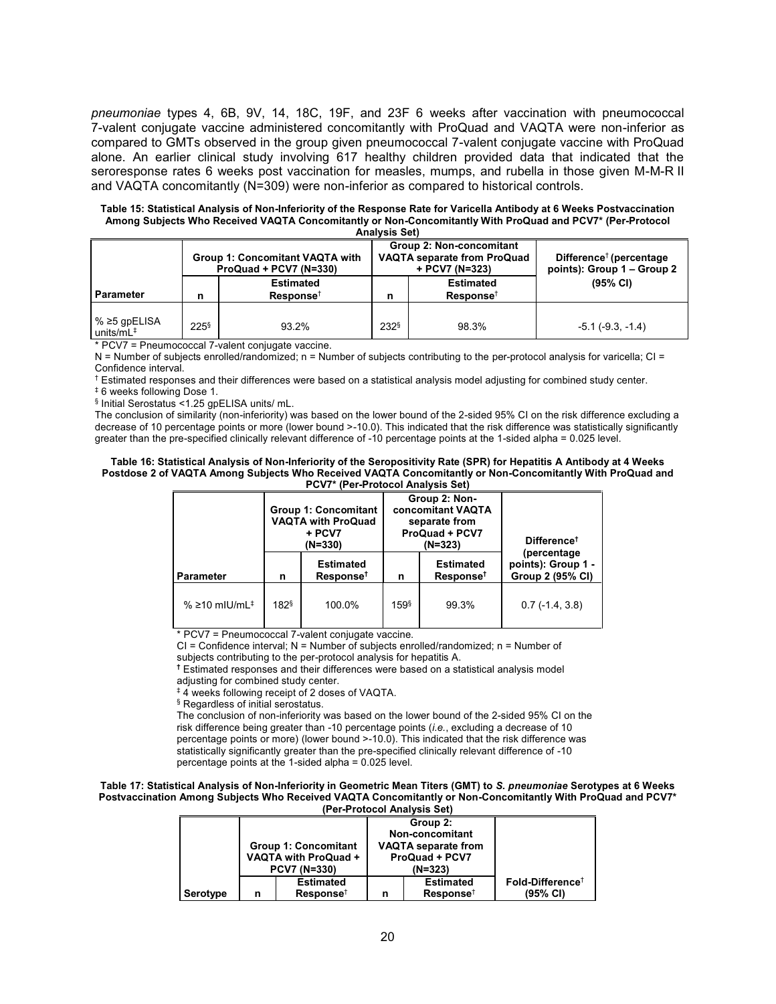*pneumoniae* types 4, 6B, 9V, 14, 18C, 19F, and 23F 6 weeks after vaccination with pneumococcal 7-valent conjugate vaccine administered concomitantly with ProQuad and VAQTA were non-inferior as compared to GMTs observed in the group given pneumococcal 7-valent conjugate vaccine with ProQuad alone. An earlier clinical study involving 617 healthy children provided data that indicated that the seroresponse rates 6 weeks post vaccination for measles, mumps, and rubella in those given M-M-R II and VAQTA concomitantly (N=309) were non-inferior as compared to historical controls.

**Table 15: Statistical Analysis of Non-Inferiority of the Response Rate for Varicella Antibody at 6 Weeks Postvaccination Among Subjects Who Received VAQTA Concomitantly or Non-Concomitantly With ProQuad and PCV7\* (Per-Protocol Analysis Set)**

| AUGULIO VOL                              |            |                                                                  |                     |                                                                                  |                                                                   |  |  |  |  |  |
|------------------------------------------|------------|------------------------------------------------------------------|---------------------|----------------------------------------------------------------------------------|-------------------------------------------------------------------|--|--|--|--|--|
|                                          |            | <b>Group 1: Concomitant VAQTA with</b><br>ProQuad + PCV7 (N=330) |                     | Group 2: Non-concomitant<br><b>VAQTA separate from ProQuad</b><br>+ PCV7 (N=323) | Difference <sup>†</sup> (percentage<br>points): Group 1 – Group 2 |  |  |  |  |  |
| <b>Parameter</b>                         | n          | <b>Estimated</b><br>Response <sup>†</sup>                        | n                   | <b>Estimated</b><br>$Response^{\dagger}$                                         | $(95% \text{ Cl})$                                                |  |  |  |  |  |
| $% ≥ 5$ gpELISA<br>units/mL <sup>‡</sup> | $225^{\$}$ | 93.2%                                                            | $232^{\frac{6}{3}}$ | 98.3%                                                                            | $-5.1$ ( $-9.3$ , $-1.4$ )                                        |  |  |  |  |  |

\* PCV7 = Pneumococcal 7-valent conjugate vaccine.

N = Number of subjects enrolled/randomized; n = Number of subjects contributing to the per-protocol analysis for varicella; CI = Confidence interval.

<sup>†</sup> Estimated responses and their differences were based on a statistical analysis model adjusting for combined study center.

‡ 6 weeks following Dose 1.

§ Initial Serostatus <1.25 gpELISA units/ mL.

The conclusion of similarity (non-inferiority) was based on the lower bound of the 2-sided 95% CI on the risk difference excluding a decrease of 10 percentage points or more (lower bound >-10.0). This indicated that the risk difference was statistically significantly greater than the pre-specified clinically relevant difference of -10 percentage points at the 1-sided alpha = 0.025 level.

#### **Table 16: Statistical Analysis of Non-Inferiority of the Seropositivity Rate (SPR) for Hepatitis A Antibody at 4 Weeks Postdose 2 of VAQTA Among Subjects Who Received VAQTA Concomitantly or Non-Concomitantly With ProQuad and PCV7\* (Per-Protocol Analysis Set)**

|                           |                    | <b>Group 1: Concomitant</b><br><b>VAQTA with ProQuad</b><br>+ PCV7<br>$(N=330)$ |            | Group 2: Non-<br>concomitant VAQTA<br>separate from<br><b>ProQuad + PCV7</b><br>(N=323) | Difference <sup>t</sup>                               |
|---------------------------|--------------------|---------------------------------------------------------------------------------|------------|-----------------------------------------------------------------------------------------|-------------------------------------------------------|
| <b>Parameter</b>          | n                  | <b>Estimated</b><br>Response <sup>†</sup>                                       | n          | <b>Estimated</b><br>Response <sup>†</sup>                                               | (percentage<br>points): Group 1 -<br>Group 2 (95% CI) |
| % ≥10 mIU/mL <sup>‡</sup> | $182$ <sup>§</sup> | 100.0%                                                                          | $159^{\$}$ | 99.3%                                                                                   | $0.7(-1.4, 3.8)$                                      |

\* PCV7 = Pneumococcal 7-valent conjugate vaccine.

 $CI =$  Confidence interval;  $N =$  Number of subjects enrolled/randomized; n = Number of subjects contributing to the per-protocol analysis for hepatitis A.

**†** Estimated responses and their differences were based on a statistical analysis model adjusting for combined study center.

‡ 4 weeks following receipt of 2 doses of VAQTA.

§ Regardless of initial serostatus.

The conclusion of non-inferiority was based on the lower bound of the 2-sided 95% CI on the risk difference being greater than -10 percentage points (*i.e.*, excluding a decrease of 10 percentage points or more) (lower bound >-10.0). This indicated that the risk difference was statistically significantly greater than the pre-specified clinically relevant difference of -10 percentage points at the 1-sided alpha = 0.025 level.

#### **Table 17: Statistical Analysis of Non-Inferiority in Geometric Mean Titers (GMT) to** *S. pneumoniae* **Serotypes at 6 Weeks Postvaccination Among Subjects Who Received VAQTA Concomitantly or Non-Concomitantly With ProQuad and PCV7\* (Per-Protocol Analysis Set)**

|          |   |                                               |                 | Group 2:                   |                                 |
|----------|---|-----------------------------------------------|-----------------|----------------------------|---------------------------------|
|          |   |                                               | Non-concomitant |                            |                                 |
|          |   | <b>Group 1: Concomitant</b>                   |                 | <b>VAQTA</b> separate from |                                 |
|          |   | VAQTA with ProQuad +<br><b>ProQuad + PCV7</b> |                 |                            |                                 |
|          |   | <b>PCV7 (N=330)</b>                           |                 | $(N=323)$                  |                                 |
|          |   | <b>Estimated</b>                              |                 | <b>Estimated</b>           | $F$ old-Difference <sup>†</sup> |
| Serotype | n | Response <sup>†</sup>                         |                 | Response <sup>†</sup>      | $(95% \text{ Cl})$              |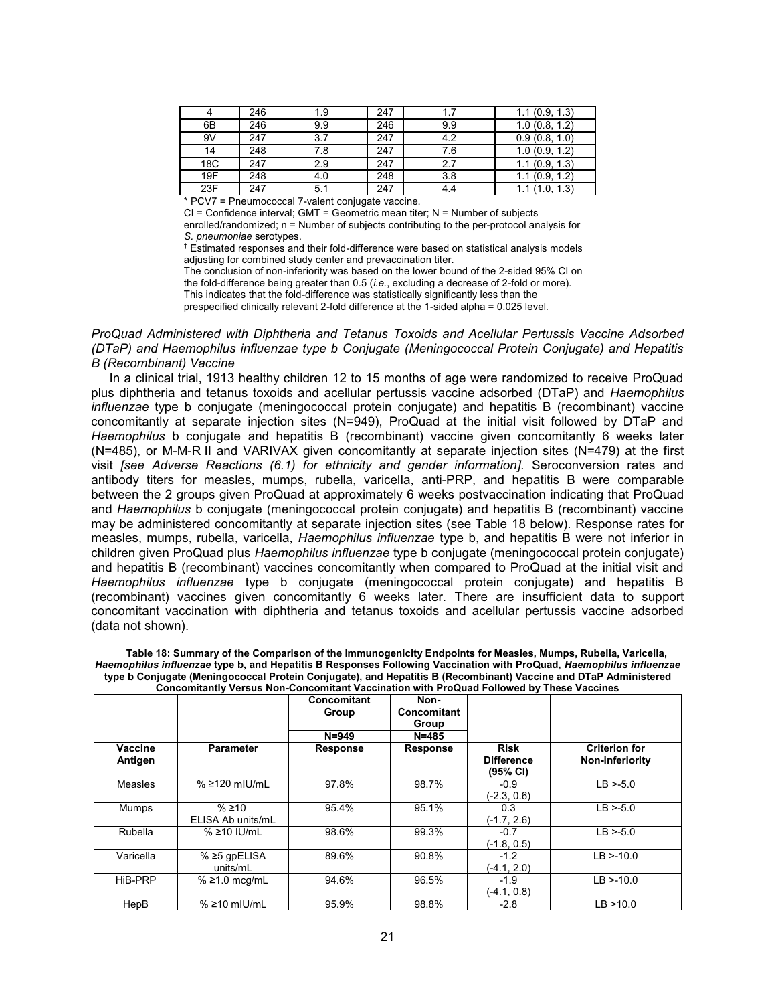|     | 246 | 1.9 | 247 | 1.7 | 1.1(0.9, 1.3) |
|-----|-----|-----|-----|-----|---------------|
| 6B  | 246 | 9.9 | 246 | 9.9 | 1.0(0.8, 1.2) |
| 9V  | 247 | 3.7 | 247 | 4.2 | 0.9(0.8, 1.0) |
| 14  | 248 | 7.8 | 247 | 7.6 | 1.0(0.9, 1.2) |
| 18C | 247 | 2.9 | 247 | 2.7 | 1.1(0.9, 1.3) |
| 19F | 248 | 4.0 | 248 | 3.8 | 1.1(0.9, 1.2) |
| 23F | 247 | 5.1 | 247 | 4.4 | (1.0, 1.3)    |

\* PCV7 = Pneumococcal 7-valent conjugate vaccine.

 $CI =$  Confidence interval; GMT = Geometric mean titer; N = Number of subjects

enrolled/randomized; n = Number of subjects contributing to the per-protocol analysis for *S. pneumoniae* serotypes.

† Estimated responses and their fold-difference were based on statistical analysis models adjusting for combined study center and prevaccination titer.

The conclusion of non-inferiority was based on the lower bound of the 2-sided 95% CI on the fold-difference being greater than 0.5 (*i.e.*, excluding a decrease of 2-fold or more). This indicates that the fold-difference was statistically significantly less than the prespecified clinically relevant 2-fold difference at the 1-sided alpha = 0.025 level.

*ProQuad Administered with Diphtheria and Tetanus Toxoids and Acellular Pertussis Vaccine Adsorbed (DTaP) and Haemophilus influenzae type b Conjugate (Meningococcal Protein Conjugate) and Hepatitis B (Recombinant) Vaccine*

In a clinical trial, 1913 healthy children 12 to 15 months of age were randomized to receive ProQuad plus diphtheria and tetanus toxoids and acellular pertussis vaccine adsorbed (DTaP) and *Haemophilus influenzae* type b conjugate (meningococcal protein conjugate) and hepatitis B (recombinant) vaccine concomitantly at separate injection sites (N=949), ProQuad at the initial visit followed by DTaP and *Haemophilus* b conjugate and hepatitis B (recombinant) vaccine given concomitantly 6 weeks later (N=485), or M-M-R II and VARIVAX given concomitantly at separate injection sites (N=479) at the first visit *[see Adverse Reactions (6.1) for ethnicity and gender information].* Seroconversion rates and antibody titers for measles, mumps, rubella, varicella, anti-PRP, and hepatitis B were comparable between the 2 groups given ProQuad at approximately 6 weeks postvaccination indicating that ProQuad and *Haemophilus* b conjugate (meningococcal protein conjugate) and hepatitis B (recombinant) vaccine may be administered concomitantly at separate injection sites (see Table 18 below). Response rates for measles, mumps, rubella, varicella, *Haemophilus influenzae* type b, and hepatitis B were not inferior in children given ProQuad plus *Haemophilus influenzae* type b conjugate (meningococcal protein conjugate) and hepatitis B (recombinant) vaccines concomitantly when compared to ProQuad at the initial visit and *Haemophilus influenzae* type b conjugate (meningococcal protein conjugate) and hepatitis B (recombinant) vaccines given concomitantly 6 weeks later. There are insufficient data to support concomitant vaccination with diphtheria and tetanus toxoids and acellular pertussis vaccine adsorbed (data not shown).

| Table 18: Summary of the Comparison of the Immunogenicity Endpoints for Measles, Mumps, Rubella, Varicella,         |
|---------------------------------------------------------------------------------------------------------------------|
| Haemophilus influenzae type b, and Hepatitis B Responses Following Vaccination with ProQuad, Haemophilus influenzae |
| type b Conjugate (Meningococcal Protein Conjugate), and Hepatitis B (Recombinant) Vaccine and DTaP Administered     |
| Concomitantly Versus Non-Concomitant Vaccination with ProQuad Followed by These Vaccines                            |

|                    |                            | Concomitant<br>Group | Non-<br>Concomitant<br>Group |                                                        |                                         |
|--------------------|----------------------------|----------------------|------------------------------|--------------------------------------------------------|-----------------------------------------|
|                    |                            | $N = 949$            | $N = 485$                    |                                                        |                                         |
| Vaccine<br>Antigen | <b>Parameter</b>           | <b>Response</b>      | <b>Response</b>              | <b>Risk</b><br><b>Difference</b><br>$(95% \text{ Cl})$ | <b>Criterion for</b><br>Non-inferiority |
| Measles            | $% \geq 120$ mIU/mL        | 97.8%                | 98.7%                        | $-0.9$<br>$(-2.3, 0.6)$                                | $LB > -5.0$                             |
| Mumps              | % ≥10<br>ELISA Ab units/mL | 95.4%                | 95.1%                        | 0.3<br>$(-1.7, 2.6)$                                   | $LB > -5.0$                             |
| Rubella            | % ≥10 IU/mL                | 98.6%                | 99.3%                        | $-0.7$<br>$(-1.8, 0.5)$                                | $LB > -5.0$                             |
| Varicella          | % ≥5 gpELISA<br>units/mL   | 89.6%                | 90.8%                        | $-1.2$<br>$(-4.1, 2.0)$                                | $LB > -10.0$                            |
| HiB-PRP            | $% \geq 1.0$ mcg/mL        | 94.6%                | 96.5%                        | $-1.9$<br>$(-4.1, 0.8)$                                | $LB > -10.0$                            |
| HepB               | $% \ge 10$ mlU/mL          | 95.9%                | 98.8%                        | $-2.8$                                                 | LB > 10.0                               |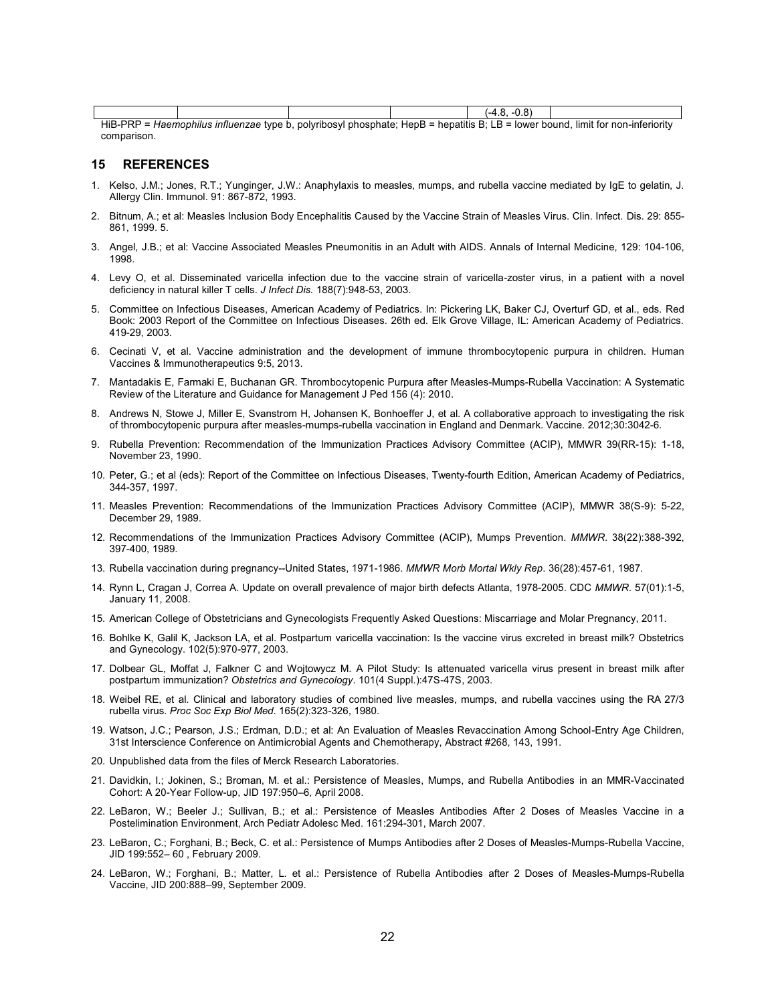|                                                                                                                                                                                                              |  |  |  |  | v.J |  |  |
|--------------------------------------------------------------------------------------------------------------------------------------------------------------------------------------------------------------|--|--|--|--|-----|--|--|
| HIR_DDD<br>' intluanzaa tuna h<br>nhocnhata:<br>: hanatitie<br>t tor non-interiority<br>. Hank –<br>nolvrihosvL<br>limit<br>--<br>: Haamonhilije<br>$h$ <sup>n</sup><br>╍<br>0.000<br>.<br><b>STATISTICS</b> |  |  |  |  |     |  |  |

 $\epsilon$ *mophilus influenzae* type b, polyribosyl phosphate; HepB = hepatitis B; LB = lower bound, limit for non-inferiority comparison.

#### **15 REFERENCES**

- 1. Kelso, J.M.; Jones, R.T.; Yunginger, J.W.: Anaphylaxis to measles, mumps, and rubella vaccine mediated by IgE to gelatin, J. Allergy Clin. Immunol. 91: 867-872, 1993.
- 2. Bitnum, A.; et al: Measles Inclusion Body Encephalitis Caused by the Vaccine Strain of Measles Virus. Clin. Infect. Dis. 29: 855- 861, 1999. 5.
- 3. Angel, J.B.; et al: Vaccine Associated Measles Pneumonitis in an Adult with AIDS. Annals of Internal Medicine, 129: 104-106, 1998.
- 4. Levy O, et al. Disseminated varicella infection due to the vaccine strain of varicella-zoster virus, in a patient with a novel deficiency in natural killer T cells. *J Infect Dis.* 188(7):948-53, 2003.
- 5. Committee on Infectious Diseases, American Academy of Pediatrics. In: Pickering LK, Baker CJ, Overturf GD, et al., eds. Red Book: 2003 Report of the Committee on Infectious Diseases. 26th ed. Elk Grove Village, IL: American Academy of Pediatrics. 419-29, 2003.
- 6. Cecinati V, et al. Vaccine administration and the development of immune thrombocytopenic purpura in children. Human Vaccines & Immunotherapeutics 9:5, 2013.
- 7. Mantadakis E, Farmaki E, Buchanan GR. Thrombocytopenic Purpura after Measles-Mumps-Rubella Vaccination: A Systematic Review of the Literature and Guidance for Management J Ped 156 (4): 2010.
- 8. Andrews N, Stowe J, Miller E, Svanstrom H, Johansen K, Bonhoeffer J, et al. A collaborative approach to investigating the risk of thrombocytopenic purpura after measles-mumps-rubella vaccination in England and Denmark. Vaccine. 2012;30:3042-6.
- 9. Rubella Prevention: Recommendation of the Immunization Practices Advisory Committee (ACIP), MMWR 39(RR-15): 1-18, November 23, 1990.
- 10. Peter, G.; et al (eds): Report of the Committee on Infectious Diseases, Twenty-fourth Edition, American Academy of Pediatrics, 344-357, 1997.
- 11. Measles Prevention: Recommendations of the Immunization Practices Advisory Committee (ACIP), MMWR 38(S-9): 5-22, December 29, 1989.
- 12. Recommendations of the Immunization Practices Advisory Committee (ACIP), Mumps Prevention. *MMWR*. 38(22):388-392, 397-400, 1989.
- 13. Rubella vaccination during pregnancy--United States, 1971-1986. *MMWR Morb Mortal Wkly Rep*. 36(28):457-61, 1987.
- 14. Rynn L, Cragan J, Correa A. Update on overall prevalence of major birth defects Atlanta, 1978-2005. CDC *MMWR*. 57(01):1-5, January 11, 2008.
- 15. American College of Obstetricians and Gynecologists Frequently Asked Questions: Miscarriage and Molar Pregnancy, 2011.
- 16. Bohlke K, Galil K, Jackson LA, et al. Postpartum varicella vaccination: Is the vaccine virus excreted in breast milk? Obstetrics and Gynecology. 102(5):970-977, 2003.
- 17. Dolbear GL, Moffat J, Falkner C and Wojtowycz M. A Pilot Study: Is attenuated varicella virus present in breast milk after postpartum immunization? *Obstetrics and Gynecology*. 101(4 Suppl.):47S-47S, 2003.
- 18. Weibel RE, et al. Clinical and laboratory studies of combined live measles, mumps, and rubella vaccines using the RA 27/3 rubella virus. *Proc Soc Exp Biol Med*. 165(2):323-326, 1980.
- 19. Watson, J.C.; Pearson, J.S.; Erdman, D.D.; et al: An Evaluation of Measles Revaccination Among School-Entry Age Children, 31st Interscience Conference on Antimicrobial Agents and Chemotherapy, Abstract #268, 143, 1991.
- 20. Unpublished data from the files of Merck Research Laboratories.
- 21. Davidkin, I.; Jokinen, S.; Broman, M. et al.: Persistence of Measles, Mumps, and Rubella Antibodies in an MMR-Vaccinated Cohort: A 20-Year Follow-up, JID 197:950–6, April 2008.
- 22. LeBaron, W.; Beeler J.; Sullivan, B.; et al.: Persistence of Measles Antibodies After 2 Doses of Measles Vaccine in a Postelimination Environment, Arch Pediatr Adolesc Med. 161:294-301, March 2007.
- 23. LeBaron, C.; Forghani, B.; Beck, C. et al.: Persistence of Mumps Antibodies after 2 Doses of Measles-Mumps-Rubella Vaccine, JID 199:552– 60 , February 2009.
- 24. LeBaron, W.; Forghani, B.; Matter, L. et al.: Persistence of Rubella Antibodies after 2 Doses of Measles-Mumps-Rubella Vaccine, JID 200:888–99, September 2009.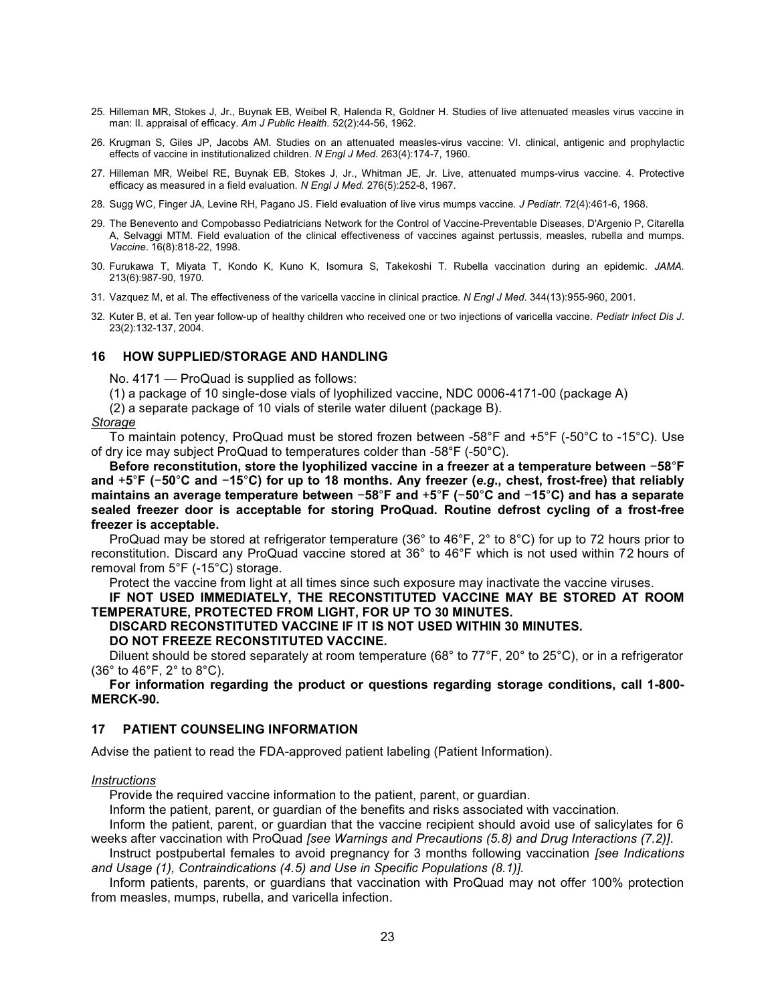- 25. Hilleman MR, Stokes J, Jr., Buynak EB, Weibel R, Halenda R, Goldner H. Studies of live attenuated measles virus vaccine in man: II. appraisal of efficacy. *Am J Public Health.* 52(2):44-56, 1962.
- 26. Krugman S, Giles JP, Jacobs AM. Studies on an attenuated measles-virus vaccine: VI. clinical, antigenic and prophylactic effects of vaccine in institutionalized children. *N Engl J Med.* 263(4):174-7, 1960.
- 27. Hilleman MR, Weibel RE, Buynak EB, Stokes J, Jr., Whitman JE, Jr. Live, attenuated mumps-virus vaccine. 4. Protective efficacy as measured in a field evaluation. *N Engl J Med.* 276(5):252-8, 1967.
- 28. Sugg WC, Finger JA, Levine RH, Pagano JS. Field evaluation of live virus mumps vaccine. *J Pediatr*. 72(4):461-6, 1968.
- 29. The Benevento and Compobasso Pediatricians Network for the Control of Vaccine-Preventable Diseases, D'Argenio P, Citarella A, Selvaggi MTM. Field evaluation of the clinical effectiveness of vaccines against pertussis, measles, rubella and mumps. *Vaccine*. 16(8):818-22, 1998.
- 30. Furukawa T, Miyata T, Kondo K, Kuno K, Isomura S, Takekoshi T. Rubella vaccination during an epidemic. *JAMA.* 213(6):987-90, 1970.
- 31. Vazquez M, et al. The effectiveness of the varicella vaccine in clinical practice. *N Engl J Med*. 344(13):955-960, 2001.
- 32. Kuter B, et al. Ten year follow-up of healthy children who received one or two injections of varicella vaccine. *Pediatr Infect Dis J*. 23(2):132-137, 2004.

#### **16 HOW SUPPLIED/STORAGE AND HANDLING**

No. 4171 — ProQuad is supplied as follows:

(1) a package of 10 single-dose vials of lyophilized vaccine, NDC 0006-4171-00 (package A)

(2) a separate package of 10 vials of sterile water diluent (package B).

#### *Storage*

To maintain potency, ProQuad must be stored frozen between -58°F and +5°F (-50°C to -15°C). Use of dry ice may subject ProQuad to temperatures colder than -58°F (-50°C).

**Before reconstitution, store the lyophilized vaccine in a freezer at a temperature between** −**58**°**F and** +**5**°**F (**−**50**°**C and** −**15**°**C) for up to 18 months. Any freezer (***e.g***., chest, frost-free) that reliably maintains an average temperature between** −**58**°**F and** +**5**°**F (**−**50**°**C and** −**15**°**C) and has a separate sealed freezer door is acceptable for storing ProQuad. Routine defrost cycling of a frost-free freezer is acceptable.**

ProQuad may be stored at refrigerator temperature (36° to 46°F, 2° to 8°C) for up to 72 hours prior to reconstitution. Discard any ProQuad vaccine stored at 36° to 46°F which is not used within 72 hours of removal from 5°F (-15°C) storage.

Protect the vaccine from light at all times since such exposure may inactivate the vaccine viruses.

## **IF NOT USED IMMEDIATELY, THE RECONSTITUTED VACCINE MAY BE STORED AT ROOM TEMPERATURE, PROTECTED FROM LIGHT, FOR UP TO 30 MINUTES.**

#### **DISCARD RECONSTITUTED VACCINE IF IT IS NOT USED WITHIN 30 MINUTES. DO NOT FREEZE RECONSTITUTED VACCINE.**

Diluent should be stored separately at room temperature (68° to 77°F, 20° to 25°C), or in a refrigerator  $(36° to 46°F, 2° to 8°C).$ 

**For information regarding the product or questions regarding storage conditions, call 1-800- MERCK-90.**

## **17 PATIENT COUNSELING INFORMATION**

Advise the patient to read the FDA-approved patient labeling (Patient Information).

#### *Instructions*

Provide the required vaccine information to the patient, parent, or guardian.

Inform the patient, parent, or guardian of the benefits and risks associated with vaccination.

Inform the patient, parent, or guardian that the vaccine recipient should avoid use of salicylates for 6 weeks after vaccination with ProQuad *[see Warnings and Precautions (5.8) and Drug Interactions (7.2)]*.

Instruct postpubertal females to avoid pregnancy for 3 months following vaccination *[see Indications and Usage (1), Contraindications (4.5) and Use in Specific Populations (8.1)].*

Inform patients, parents, or guardians that vaccination with ProQuad may not offer 100% protection from measles, mumps, rubella, and varicella infection.